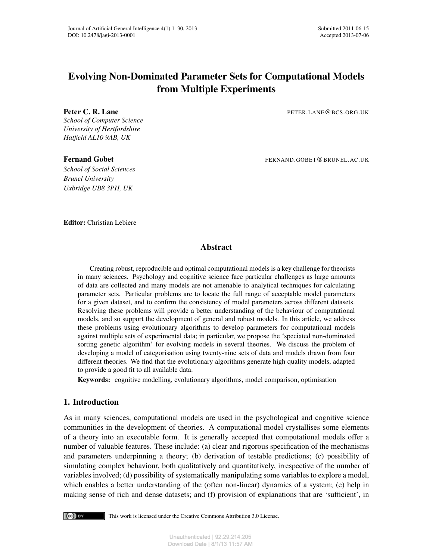# Evolving Non-Dominated Parameter Sets for Computational Models from Multiple Experiments

*School of Computer Science University of Hertfordshire Hatfield AL10 9AB, UK*

*School of Social Sciences Brunel University Uxbridge UB8 3PH, UK*

Peter C. R. Lane PETER.LANE@BCS.ORG.UK

Fernand Gobet FERNAND.GOBET@BRUNEL.AC.UK

Editor: Christian Lebiere

# Abstract

Creating robust, reproducible and optimal computational models is a key challenge for theorists in many sciences. Psychology and cognitive science face particular challenges as large amounts of data are collected and many models are not amenable to analytical techniques for calculating parameter sets. Particular problems are to locate the full range of acceptable model parameters for a given dataset, and to confirm the consistency of model parameters across different datasets. Resolving these problems will provide a better understanding of the behaviour of computational models, and so support the development of general and robust models. In this article, we address these problems using evolutionary algorithms to develop parameters for computational models against multiple sets of experimental data; in particular, we propose the 'speciated non-dominated sorting genetic algorithm' for evolving models in several theories. We discuss the problem of developing a model of categorisation using twenty-nine sets of data and models drawn from four different theories. We find that the evolutionary algorithms generate high quality models, adapted to provide a good fit to all available data.

Keywords: cognitive modelling, evolutionary algorithms, model comparison, optimisation

# 1. Introduction

As in many sciences, computational models are used in the psychological and cognitive science communities in the development of theories. A computational model crystallises some elements of a theory into an executable form. It is generally accepted that computational models offer a number of valuable features. These include: (a) clear and rigorous specification of the mechanisms and parameters underpinning a theory; (b) derivation of testable predictions; (c) possibility of simulating complex behaviour, both qualitatively and quantitatively, irrespective of the number of variables involved; (d) possibility of systematically manipulating some variables to explore a model, which enables a better understanding of the (often non-linear) dynamics of a system; (e) help in making sense of rich and dense datasets; and (f) provision of explanations that are 'sufficient', in

 $(cc)$  by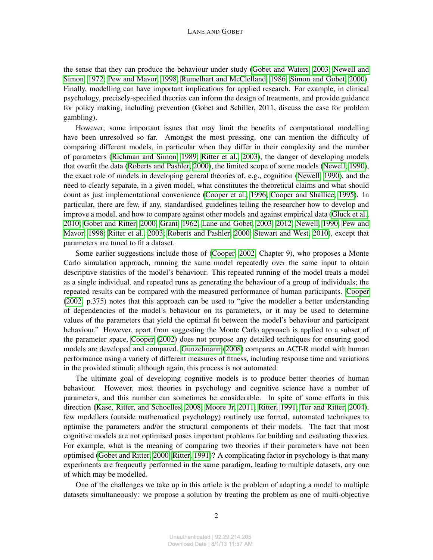the sense that they can produce the behaviour under study [\(Gobet and Waters, 2003;](#page-27-0) [Newell and](#page-28-0) [Simon, 1972;](#page-28-0) [Pew and Mavor, 1998;](#page-28-1) [Rumelhart and McClelland, 1986;](#page-29-0) [Simon and Gobet, 2000\)](#page-29-1). Finally, modelling can have important implications for applied research. For example, in clinical psychology, precisely-specified theories can inform the design of treatments, and provide guidance for policy making, including prevention (Gobet and Schiller, 2011, discuss the case for problem gambling).

However, some important issues that may limit the benefits of computational modelling have been unresolved so far. Amongst the most pressing, one can mention the difficulty of comparing different models, in particular when they differ in their complexity and the number of parameters [\(Richman and Simon, 1989;](#page-28-2) [Ritter et al., 2003\)](#page-28-3), the danger of developing models that overfit the data [\(Roberts and Pashler, 2000\)](#page-29-2), the limited scope of some models [\(Newell, 1990\)](#page-28-4), the exact role of models in developing general theories of, e.g., cognition [\(Newell, 1990\)](#page-28-4), and the need to clearly separate, in a given model, what constitutes the theoretical claims and what should count as just implementational convenience [\(Cooper et al., 1996;](#page-26-0) [Cooper and Shallice, 1995\)](#page-26-1). In particular, there are few, if any, standardised guidelines telling the researcher how to develop and improve a model, and how to compare against other models and against empirical data [\(Gluck et al.,](#page-26-2) [2010;](#page-26-2) [Gobet and Ritter, 2000;](#page-27-1) [Grant, 1962;](#page-27-2) [Lane and Gobet, 2003,](#page-27-3) [2012;](#page-27-4) [Newell, 1990;](#page-28-4) [Pew and](#page-28-1) [Mavor, 1998;](#page-28-1) [Ritter et al., 2003;](#page-28-3) [Roberts and Pashler, 2000;](#page-29-2) [Stewart and West, 2010\)](#page-29-3), except that parameters are tuned to fit a dataset.

Some earlier suggestions include those of [\(Cooper, 2002,](#page-26-3) Chapter 9), who proposes a Monte Carlo simulation approach, running the same model repeatedly over the same input to obtain descriptive statistics of the model's behaviour. This repeated running of the model treats a model as a single individual, and repeated runs as generating the behaviour of a group of individuals; the repeated results can be compared with the measured performance of human participants. [Cooper](#page-26-3) [\(2002,](#page-26-3) p.375) notes that this approach can be used to "give the modeller a better understanding of dependencies of the model's behaviour on its parameters, or it may be used to determine values of the parameters that yield the optimal fit between the model's behaviour and participant behaviour." However, apart from suggesting the Monte Carlo approach is applied to a subset of the parameter space, [Cooper](#page-26-3) [\(2002\)](#page-26-3) does not propose any detailed techniques for ensuring good models are developed and compared. [Gunzelmann](#page-27-5) [\(2008\)](#page-27-5) compares an ACT-R model with human performance using a variety of different measures of fitness, including response time and variations in the provided stimuli; although again, this process is not automated.

The ultimate goal of developing cognitive models is to produce better theories of human behaviour. However, most theories in psychology and cognitive science have a number of parameters, and this number can sometimes be considerable. In spite of some efforts in this direction [\(Kase, Ritter, and Schoelles, 2008;](#page-27-6) [Moore Jr, 2011;](#page-28-5) [Ritter, 1991;](#page-29-4) [Tor and Ritter, 2004\)](#page-29-5), few modellers (outside mathematical psychology) routinely use formal, automated techniques to optimise the parameters and/or the structural components of their models. The fact that most cognitive models are not optimised poses important problems for building and evaluating theories. For example, what is the meaning of comparing two theories if their parameters have not been optimised [\(Gobet and Ritter, 2000;](#page-27-1) [Ritter, 1991\)](#page-29-4)? A complicating factor in psychology is that many experiments are frequently performed in the same paradigm, leading to multiple datasets, any one of which may be modelled.

One of the challenges we take up in this article is the problem of adapting a model to multiple datasets simultaneously: we propose a solution by treating the problem as one of multi-objective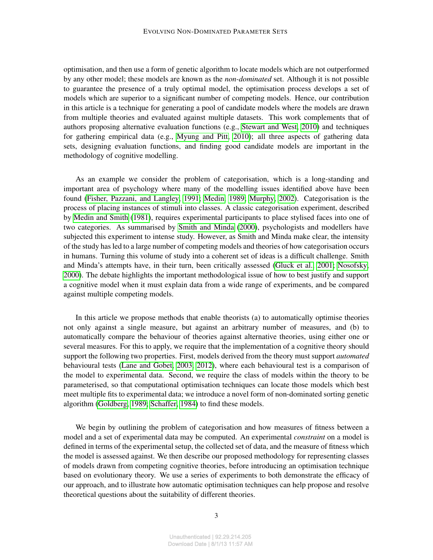optimisation, and then use a form of genetic algorithm to locate models which are not outperformed by any other model; these models are known as the *non-dominated* set. Although it is not possible to guarantee the presence of a truly optimal model, the optimisation process develops a set of models which are superior to a significant number of competing models. Hence, our contribution in this article is a technique for generating a pool of candidate models where the models are drawn from multiple theories and evaluated against multiple datasets. This work complements that of authors proposing alternative evaluation functions (e.g., [Stewart and West, 2010\)](#page-29-3) and techniques for gathering empirical data (e.g., [Myung and Pitt, 2010\)](#page-28-6); all three aspects of gathering data sets, designing evaluation functions, and finding good candidate models are important in the methodology of cognitive modelling.

As an example we consider the problem of categorisation, which is a long-standing and important area of psychology where many of the modelling issues identified above have been found [\(Fisher, Pazzani, and Langley, 1991;](#page-26-4) [Medin, 1989;](#page-28-7) [Murphy, 2002\)](#page-28-8). Categorisation is the process of placing instances of stimuli into classes. A classic categorisation experiment, described by [Medin and Smith](#page-28-9) [\(1981\)](#page-28-9), requires experimental participants to place stylised faces into one of two categories. As summarised by [Smith and Minda](#page-29-6) [\(2000\)](#page-29-6), psychologists and modellers have subjected this experiment to intense study. However, as Smith and Minda make clear, the intensity of the study has led to a large number of competing models and theories of how categorisation occurs in humans. Turning this volume of study into a coherent set of ideas is a difficult challenge. Smith and Minda's attempts have, in their turn, been critically assessed [\(Gluck et al., 2001;](#page-26-5) [Nosofsky,](#page-28-10) [2000\)](#page-28-10). The debate highlights the important methodological issue of how to best justify and support a cognitive model when it must explain data from a wide range of experiments, and be compared against multiple competing models.

In this article we propose methods that enable theorists (a) to automatically optimise theories not only against a single measure, but against an arbitrary number of measures, and (b) to automatically compare the behaviour of theories against alternative theories, using either one or several measures. For this to apply, we require that the implementation of a cognitive theory should support the following two properties. First, models derived from the theory must support *automated* behavioural tests [\(Lane and Gobet, 2003,](#page-27-3) [2012\)](#page-27-4), where each behavioural test is a comparison of the model to experimental data. Second, we require the class of models within the theory to be parameterised, so that computational optimisation techniques can locate those models which best meet multiple fits to experimental data; we introduce a novel form of non-dominated sorting genetic algorithm [\(Goldberg, 1989;](#page-27-7) [Schaffer, 1984\)](#page-29-7) to find these models.

We begin by outlining the problem of categorisation and how measures of fitness between a model and a set of experimental data may be computed. An experimental *constraint* on a model is defined in terms of the experimental setup, the collected set of data, and the measure of fitness which the model is assessed against. We then describe our proposed methodology for representing classes of models drawn from competing cognitive theories, before introducing an optimisation technique based on evolutionary theory. We use a series of experiments to both demonstrate the efficacy of our approach, and to illustrate how automatic optimisation techniques can help propose and resolve theoretical questions about the suitability of different theories.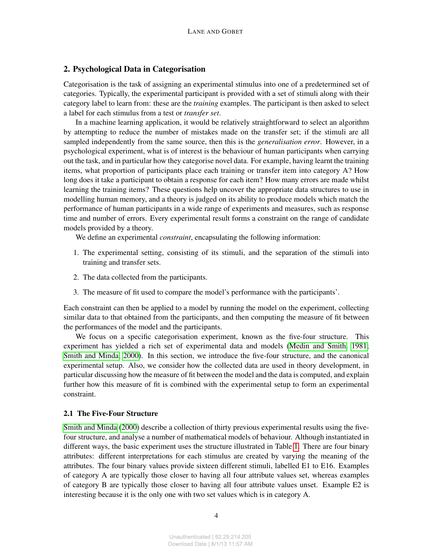# 2. Psychological Data in Categorisation

Categorisation is the task of assigning an experimental stimulus into one of a predetermined set of categories. Typically, the experimental participant is provided with a set of stimuli along with their category label to learn from: these are the *training* examples. The participant is then asked to select a label for each stimulus from a test or *transfer set*.

In a machine learning application, it would be relatively straightforward to select an algorithm by attempting to reduce the number of mistakes made on the transfer set; if the stimuli are all sampled independently from the same source, then this is the *generalisation error*. However, in a psychological experiment, what is of interest is the behaviour of human participants when carrying out the task, and in particular how they categorise novel data. For example, having learnt the training items, what proportion of participants place each training or transfer item into category A? How long does it take a participant to obtain a response for each item? How many errors are made whilst learning the training items? These questions help uncover the appropriate data structures to use in modelling human memory, and a theory is judged on its ability to produce models which match the performance of human participants in a wide range of experiments and measures, such as response time and number of errors. Every experimental result forms a constraint on the range of candidate models provided by a theory.

We define an experimental *constraint*, encapsulating the following information:

- 1. The experimental setting, consisting of its stimuli, and the separation of the stimuli into training and transfer sets.
- 2. The data collected from the participants.
- 3. The measure of fit used to compare the model's performance with the participants'.

Each constraint can then be applied to a model by running the model on the experiment, collecting similar data to that obtained from the participants, and then computing the measure of fit between the performances of the model and the participants.

We focus on a specific categorisation experiment, known as the five-four structure. This experiment has yielded a rich set of experimental data and models [\(Medin and Smith, 1981;](#page-28-9) [Smith and Minda, 2000\)](#page-29-6). In this section, we introduce the five-four structure, and the canonical experimental setup. Also, we consider how the collected data are used in theory development, in particular discussing how the measure of fit between the model and the data is computed, and explain further how this measure of fit is combined with the experimental setup to form an experimental constraint.

#### 2.1 The Five-Four Structure

[Smith and Minda](#page-29-6) [\(2000\)](#page-29-6) describe a collection of thirty previous experimental results using the fivefour structure, and analyse a number of mathematical models of behaviour. Although instantiated in different ways, the basic experiment uses the structure illustrated in Table [1.](#page-4-0) There are four binary attributes: different interpretations for each stimulus are created by varying the meaning of the attributes. The four binary values provide sixteen different stimuli, labelled E1 to E16. Examples of category A are typically those closer to having all four attribute values set, whereas examples of category B are typically those closer to having all four attribute values unset. Example E2 is interesting because it is the only one with two set values which is in category A.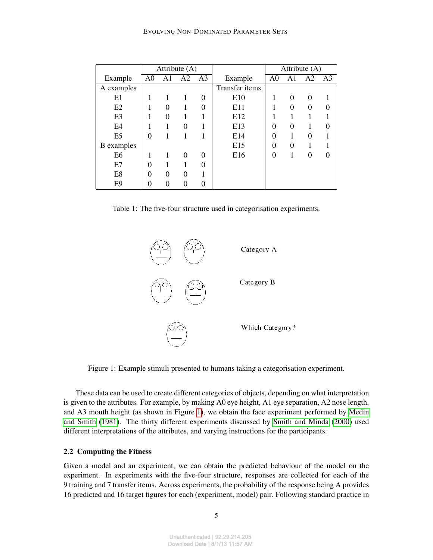|                   |                |          | Attribute (A) |                |                | Attribute $(A)$ |                |                |                |
|-------------------|----------------|----------|---------------|----------------|----------------|-----------------|----------------|----------------|----------------|
| Example           | A <sub>0</sub> | A1       | A2            | A <sub>3</sub> | Example        | A <sub>0</sub>  | A <sub>1</sub> | A <sub>2</sub> | A <sub>3</sub> |
| A examples        |                |          |               |                | Transfer items |                 |                |                |                |
| E1                |                | 1        | 1             | 0              | E10            |                 | $\theta$       | 0              |                |
| E2                |                | $\Omega$ |               | 0              | E11            |                 | $\theta$       | 0              | 0              |
| E <sub>3</sub>    |                | 0        |               |                | E12            |                 |                |                |                |
| E <sub>4</sub>    |                |          | 0             | 1              | E13            | 0               | $\theta$       |                |                |
| E <sub>5</sub>    | 0              |          |               |                | E14            | 0               |                | 0              |                |
| <b>B</b> examples |                |          |               |                | E15            | 0               | $\theta$       |                |                |
| E <sub>6</sub>    |                | 1        | 0             | 0              | E16            | 0               |                | 0              |                |
| E7                | 0              |          |               | 0              |                |                 |                |                |                |
| E8                | $\theta$       | $\theta$ | 0             |                |                |                 |                |                |                |
| E <sub>9</sub>    | 0              | 0        | 0             | 0              |                |                 |                |                |                |

<span id="page-4-0"></span>

|  |  | Table 1: The five-four structure used in categorisation experiments. |  |
|--|--|----------------------------------------------------------------------|--|
|  |  |                                                                      |  |



<span id="page-4-1"></span>Figure 1: Example stimuli presented to humans taking a categorisation experiment.

These data can be used to create different categories of objects, depending on what interpretation is given to the attributes. For example, by making A0 eye height, A1 eye separation, A2 nose length, and A3 mouth height (as shown in Figure [1\)](#page-4-1), we obtain the face experiment performed by [Medin](#page-28-9) [and Smith](#page-28-9) [\(1981\)](#page-28-9). The thirty different experiments discussed by [Smith and Minda](#page-29-6) [\(2000\)](#page-29-6) used different interpretations of the attributes, and varying instructions for the participants.

#### 2.2 Computing the Fitness

Given a model and an experiment, we can obtain the predicted behaviour of the model on the experiment. In experiments with the five-four structure, responses are collected for each of the 9 training and 7 transfer items. Across experiments, the probability of the response being A provides 16 predicted and 16 target figures for each (experiment, model) pair. Following standard practice in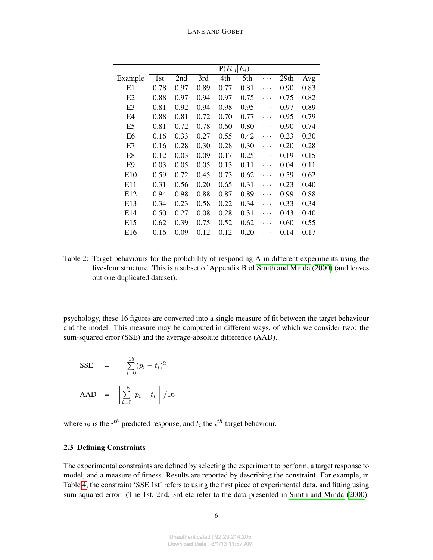|                 | $P(R_A E_i)$ |      |      |      |      |   |      |      |  |  |
|-----------------|--------------|------|------|------|------|---|------|------|--|--|
| Example         | 1st          | 2nd  | 3rd  | 4th  | 5th  | . | 29th | Avg  |  |  |
| E1              | 0.78         | 0.97 | 0.89 | 0.77 | 0.81 |   | 0.90 | 0.83 |  |  |
| E2              | 0.88         | 0.97 | 0.94 | 0.97 | 0.75 |   | 0.75 | 0.82 |  |  |
| E3              | 0.81         | 0.92 | 0.94 | 0.98 | 0.95 | . | 0.97 | 0.89 |  |  |
| E <sub>4</sub>  | 0.88         | 0.81 | 0.72 | 0.70 | 0.77 | . | 0.95 | 0.79 |  |  |
| E <sub>5</sub>  | 0.81         | 0.72 | 0.78 | 0.60 | 0.80 | . | 0.90 | 0.74 |  |  |
| E6              | 0.16         | 0.33 | 0.27 | 0.55 | 0.42 | . | 0.23 | 0.30 |  |  |
| E7              | 0.16         | 0.28 | 0.30 | 0.28 | 0.30 | . | 0.20 | 0.28 |  |  |
| E <sub>8</sub>  | 0.12         | 0.03 | 0.09 | 0.17 | 0.25 | . | 0.19 | 0.15 |  |  |
| E9              | 0.03         | 0.05 | 0.05 | 0.13 | 0.11 |   | 0.04 | 0.11 |  |  |
| E <sub>10</sub> | 0.59         | 0.72 | 0.45 | 0.73 | 0.62 |   | 0.59 | 0.62 |  |  |
| E11             | 0.31         | 0.56 | 0.20 | 0.65 | 0.31 | . | 0.23 | 0.40 |  |  |
| E12             | 0.94         | 0.98 | 0.88 | 0.87 | 0.89 | . | 0.99 | 0.88 |  |  |
| E13             | 0.34         | 0.23 | 0.58 | 0.22 | 0.34 | . | 0.33 | 0.34 |  |  |
| E14             | 0.50         | 0.27 | 0.08 | 0.28 | 0.31 | . | 0.43 | 0.40 |  |  |
| E15             | 0.62         | 0.39 | 0.75 | 0.52 | 0.62 | . | 0.60 | 0.55 |  |  |
| E16             | 0.16         | 0.09 | 0.12 | 0.12 | 0.20 |   | 0.14 | 0.17 |  |  |

<span id="page-5-0"></span>Table 2: Target behaviours for the probability of responding A in different experiments using the five-four structure. This is a subset of Appendix B of [Smith and Minda](#page-29-6) [\(2000\)](#page-29-6) (and leaves out one duplicated dataset).

psychology, these 16 figures are converted into a single measure of fit between the target behaviour and the model. This measure may be computed in different ways, of which we consider two: the sum-squared error (SSE) and the average-absolute difference (AAD).

SSE =

\n
$$
\sum_{i=0}^{15} (p_i - t_i)^2
$$
\nAAD =

\n
$$
\left[ \sum_{i=0}^{15} |p_i - t_i| \right] / 16
$$

where  $p_i$  is the  $i^{th}$  predicted response, and  $t_i$  the  $i^{th}$  target behaviour.

#### 2.3 Defining Constraints

The experimental constraints are defined by selecting the experiment to perform, a target response to model, and a measure of fitness. Results are reported by describing the constraint. For example, in Table [4,](#page-15-0) the constraint 'SSE 1st' refers to using the first piece of experimental data, and fitting using sum-squared error. (The 1st, 2nd, 3rd etc refer to the data presented in [Smith and Minda](#page-29-6) [\(2000\)](#page-29-6).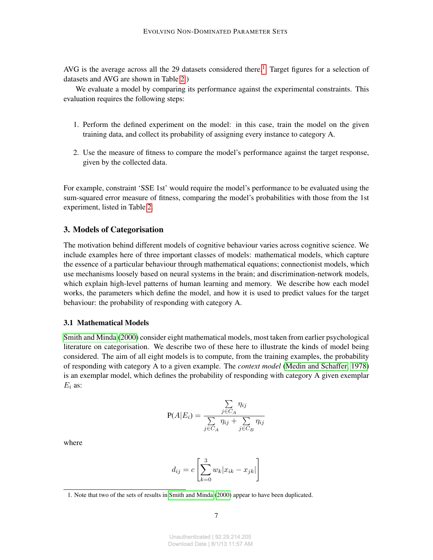AVG is the average across all the 29 datasets considered there.<sup>[1](#page-6-0)</sup> Target figures for a selection of datasets and AVG are shown in Table [2.](#page-5-0))

We evaluate a model by comparing its performance against the experimental constraints. This evaluation requires the following steps:

- 1. Perform the defined experiment on the model: in this case, train the model on the given training data, and collect its probability of assigning every instance to category A.
- 2. Use the measure of fitness to compare the model's performance against the target response, given by the collected data.

For example, constraint 'SSE 1st' would require the model's performance to be evaluated using the sum-squared error measure of fitness, comparing the model's probabilities with those from the 1st experiment, listed in Table [2.](#page-5-0)

### <span id="page-6-1"></span>3. Models of Categorisation

The motivation behind different models of cognitive behaviour varies across cognitive science. We include examples here of three important classes of models: mathematical models, which capture the essence of a particular behaviour through mathematical equations; connectionist models, which use mechanisms loosely based on neural systems in the brain; and discrimination-network models, which explain high-level patterns of human learning and memory. We describe how each model works, the parameters which define the model, and how it is used to predict values for the target behaviour: the probability of responding with category A.

#### 3.1 Mathematical Models

[Smith and Minda](#page-29-6) [\(2000\)](#page-29-6) consider eight mathematical models, most taken from earlier psychological literature on categorisation. We describe two of these here to illustrate the kinds of model being considered. The aim of all eight models is to compute, from the training examples, the probability of responding with category A to a given example. The *context model* [\(Medin and Schaffer, 1978\)](#page-28-11) is an exemplar model, which defines the probability of responding with category A given exemplar  $E_i$  as:

$$
P(A|E_i) = \frac{\sum_{j \in C_A} \eta_{ij}}{\sum_{j \in C_A} \eta_{ij} + \sum_{j \in C_B} \eta_{ij}}
$$

where

$$
d_{ij} = c \left[ \sum_{k=0}^{3} w_k |x_{ik} - x_{jk}| \right]
$$

<span id="page-6-0"></span><sup>1.</sup> Note that two of the sets of results in [Smith and Minda](#page-29-6) [\(2000\)](#page-29-6) appear to have been duplicated.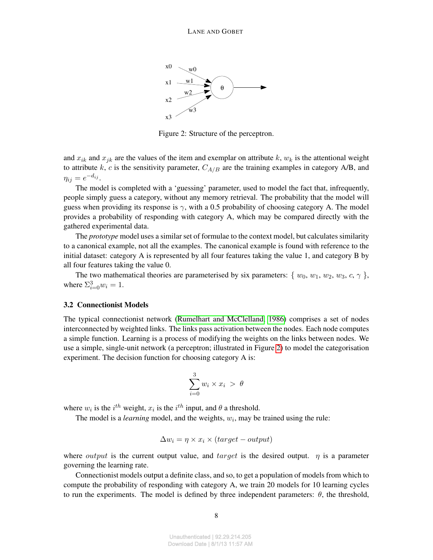

<span id="page-7-0"></span>Figure 2: Structure of the perceptron.

and  $x_{ik}$  and  $x_{jk}$  are the values of the item and exemplar on attribute k,  $w_k$  is the attentional weight to attribute k, c is the sensitivity parameter,  $C_{A/B}$  are the training examples in category A/B, and  $\eta_{ij} = e^{-d_{ij}}.$ 

The model is completed with a 'guessing' parameter, used to model the fact that, infrequently, people simply guess a category, without any memory retrieval. The probability that the model will guess when providing its response is  $\gamma$ , with a 0.5 probability of choosing category A. The model provides a probability of responding with category A, which may be compared directly with the gathered experimental data.

The *prototype* model uses a similar set of formulae to the context model, but calculates similarity to a canonical example, not all the examples. The canonical example is found with reference to the initial dataset: category A is represented by all four features taking the value 1, and category B by all four features taking the value 0.

The two mathematical theories are parameterised by six parameters:  $\{ w_0, w_1, w_2, w_3, c, \gamma \}$ , where  $\Sigma_{i=0}^3 w_i = 1$ .

#### 3.2 Connectionist Models

The typical connectionist network [\(Rumelhart and McClelland, 1986\)](#page-29-0) comprises a set of nodes interconnected by weighted links. The links pass activation between the nodes. Each node computes a simple function. Learning is a process of modifying the weights on the links between nodes. We use a simple, single-unit network (a perceptron; illustrated in Figure [2\)](#page-7-0) to model the categorisation experiment. The decision function for choosing category A is:

$$
\sum_{i=0}^{3} w_i \times x_i > \theta
$$

where  $w_i$  is the  $i^{th}$  weight,  $x_i$  is the  $i^{th}$  input, and  $\theta$  a threshold.

The model is a *learning* model, and the weights,  $w_i$ , may be trained using the rule:

$$
\Delta w_i = \eta \times x_i \times (target - output)
$$

where *output* is the current output value, and  $target$  is the desired output.  $\eta$  is a parameter governing the learning rate.

Connectionist models output a definite class, and so, to get a population of models from which to compute the probability of responding with category A, we train 20 models for 10 learning cycles to run the experiments. The model is defined by three independent parameters:  $\theta$ , the threshold,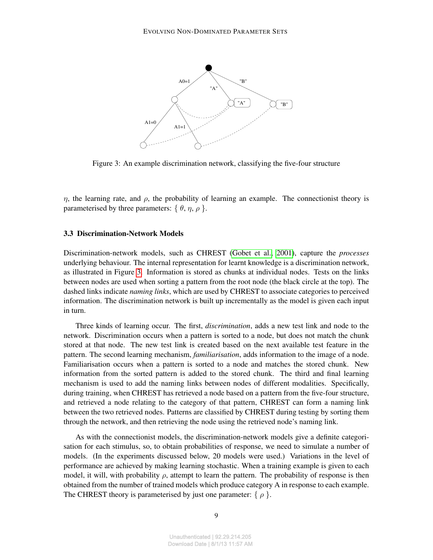

<span id="page-8-0"></span>Figure 3: An example discrimination network, classifying the five-four structure

 $η$ , the learning rate, and  $ρ$ , the probability of learning an example. The connectionist theory is parameterised by three parameters:  $\{\theta, \eta, \rho\}$ .

### 3.3 Discrimination-Network Models

Discrimination-network models, such as CHREST [\(Gobet et al., 2001\)](#page-27-8), capture the *processes* underlying behaviour. The internal representation for learnt knowledge is a discrimination network, as illustrated in Figure [3.](#page-8-0) Information is stored as chunks at individual nodes. Tests on the links between nodes are used when sorting a pattern from the root node (the black circle at the top). The dashed links indicate *naming links*, which are used by CHREST to associate categories to perceived information. The discrimination network is built up incrementally as the model is given each input in turn.

Three kinds of learning occur. The first, *discrimination*, adds a new test link and node to the network. Discrimination occurs when a pattern is sorted to a node, but does not match the chunk stored at that node. The new test link is created based on the next available test feature in the pattern. The second learning mechanism, *familiarisation*, adds information to the image of a node. Familiarisation occurs when a pattern is sorted to a node and matches the stored chunk. New information from the sorted pattern is added to the stored chunk. The third and final learning mechanism is used to add the naming links between nodes of different modalities. Specifically, during training, when CHREST has retrieved a node based on a pattern from the five-four structure, and retrieved a node relating to the category of that pattern, CHREST can form a naming link between the two retrieved nodes. Patterns are classified by CHREST during testing by sorting them through the network, and then retrieving the node using the retrieved node's naming link.

As with the connectionist models, the discrimination-network models give a definite categorisation for each stimulus, so, to obtain probabilities of response, we need to simulate a number of models. (In the experiments discussed below, 20 models were used.) Variations in the level of performance are achieved by making learning stochastic. When a training example is given to each model, it will, with probability  $\rho$ , attempt to learn the pattern. The probability of response is then obtained from the number of trained models which produce category A in response to each example. The CHREST theory is parameterised by just one parameter:  $\{ \rho \}$ .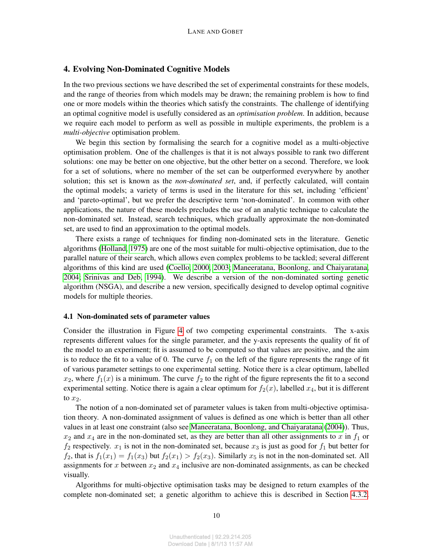# 4. Evolving Non-Dominated Cognitive Models

In the two previous sections we have described the set of experimental constraints for these models, and the range of theories from which models may be drawn; the remaining problem is how to find one or more models within the theories which satisfy the constraints. The challenge of identifying an optimal cognitive model is usefully considered as an *optimisation problem*. In addition, because we require each model to perform as well as possible in multiple experiments, the problem is a *multi-objective* optimisation problem.

We begin this section by formalising the search for a cognitive model as a multi-objective optimisation problem. One of the challenges is that it is not always possible to rank two different solutions: one may be better on one objective, but the other better on a second. Therefore, we look for a set of solutions, where no member of the set can be outperformed everywhere by another solution; this set is known as the *non-dominated set*, and, if perfectly calculated, will contain the optimal models; a variety of terms is used in the literature for this set, including 'efficient' and 'pareto-optimal', but we prefer the descriptive term 'non-dominated'. In common with other applications, the nature of these models precludes the use of an analytic technique to calculate the non-dominated set. Instead, search techniques, which gradually approximate the non-dominated set, are used to find an approximation to the optimal models.

There exists a range of techniques for finding non-dominated sets in the literature. Genetic algorithms [\(Holland, 1975\)](#page-27-9) are one of the most suitable for multi-objective optimisation, due to the parallel nature of their search, which allows even complex problems to be tackled; several different algorithms of this kind are used [\(Coello, 2000,](#page-26-6) [2003;](#page-26-7) [Maneeratana, Boonlong, and Chaiyaratana,](#page-28-12) [2004;](#page-28-12) [Srinivas and Deb, 1994\)](#page-29-8). We describe a version of the non-dominated sorting genetic algorithm (NSGA), and describe a new version, specifically designed to develop optimal cognitive models for multiple theories.

#### 4.1 Non-dominated sets of parameter values

Consider the illustration in Figure [4](#page-10-0) of two competing experimental constraints. The x-axis represents different values for the single parameter, and the y-axis represents the quality of fit of the model to an experiment; fit is assumed to be computed so that values are positive, and the aim is to reduce the fit to a value of 0. The curve  $f_1$  on the left of the figure represents the range of fit of various parameter settings to one experimental setting. Notice there is a clear optimum, labelled  $x_2$ , where  $f_1(x)$  is a minimum. The curve  $f_2$  to the right of the figure represents the fit to a second experimental setting. Notice there is again a clear optimum for  $f_2(x)$ , labelled  $x_4$ , but it is different to  $x_2$ .

The notion of a non-dominated set of parameter values is taken from multi-objective optimisation theory. A non-dominated assignment of values is defined as one which is better than all other values in at least one constraint (also see [Maneeratana, Boonlong, and Chaiyaratana](#page-28-12) [\(2004\)](#page-28-12)). Thus,  $x_2$  and  $x_4$  are in the non-dominated set, as they are better than all other assignments to x in  $f_1$  or  $f_2$  respectively.  $x_1$  is not in the non-dominated set, because  $x_3$  is just as good for  $f_1$  but better for  $f_2$ , that is  $f_1(x_1) = f_1(x_3)$  but  $f_2(x_1) > f_2(x_3)$ . Similarly  $x_5$  is not in the non-dominated set. All assignments for x between  $x_2$  and  $x_4$  inclusive are non-dominated assignments, as can be checked visually.

Algorithms for multi-objective optimisation tasks may be designed to return examples of the complete non-dominated set; a genetic algorithm to achieve this is described in Section [4.3.2.](#page-12-0)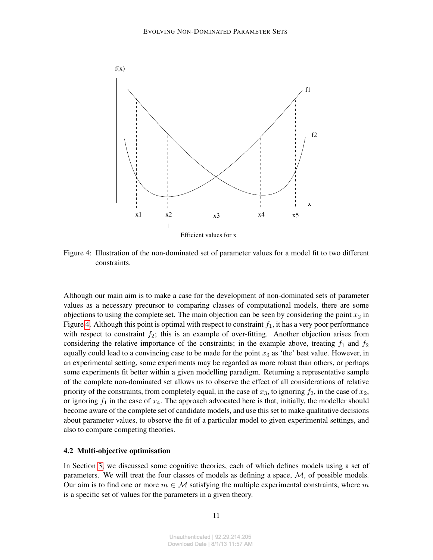

<span id="page-10-0"></span>Figure 4: Illustration of the non-dominated set of parameter values for a model fit to two different constraints.

Although our main aim is to make a case for the development of non-dominated sets of parameter values as a necessary precursor to comparing classes of computational models, there are some objections to using the complete set. The main objection can be seen by considering the point  $x_2$  in Figure [4.](#page-10-0) Although this point is optimal with respect to constraint  $f_1$ , it has a very poor performance with respect to constraint  $f_2$ ; this is an example of over-fitting. Another objection arises from considering the relative importance of the constraints; in the example above, treating  $f_1$  and  $f_2$ equally could lead to a convincing case to be made for the point  $x_3$  as 'the' best value. However, in an experimental setting, some experiments may be regarded as more robust than others, or perhaps some experiments fit better within a given modelling paradigm. Returning a representative sample of the complete non-dominated set allows us to observe the effect of all considerations of relative priority of the constraints, from completely equal, in the case of  $x_3$ , to ignoring  $f_2$ , in the case of  $x_2$ , or ignoring  $f_1$  in the case of  $x_4$ . The approach advocated here is that, initially, the modeller should become aware of the complete set of candidate models, and use this set to make qualitative decisions about parameter values, to observe the fit of a particular model to given experimental settings, and also to compare competing theories.

#### 4.2 Multi-objective optimisation

In Section [3,](#page-6-1) we discussed some cognitive theories, each of which defines models using a set of parameters. We will treat the four classes of models as defining a space,  $M$ , of possible models. Our aim is to find one or more  $m \in \mathcal{M}$  satisfying the multiple experimental constraints, where m is a specific set of values for the parameters in a given theory.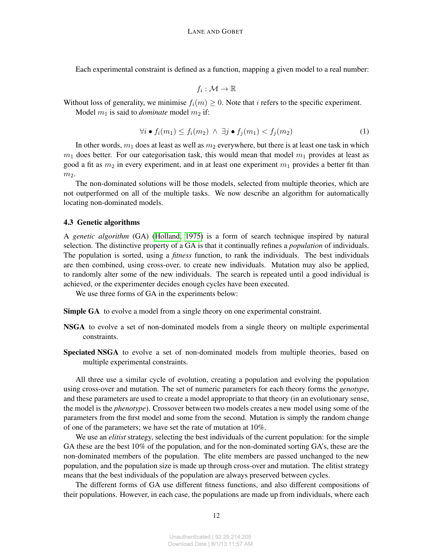Each experimental constraint is defined as a function, mapping a given model to a real number:

$$
f_i:\mathcal{M}\to\mathbb{R}
$$

Without loss of generality, we minimise  $f_i(m) \geq 0$ . Note that i refers to the specific experiment. Model  $m_1$  is said to *dominate* model  $m_2$  if:

$$
\forall i \bullet f_i(m_1) \le f_i(m_2) \land \exists j \bullet f_j(m_1) < f_j(m_2) \tag{1}
$$

In other words,  $m_1$  does at least as well as  $m_2$  everywhere, but there is at least one task in which  $m_1$  does better. For our categorisation task, this would mean that model  $m_1$  provides at least as good a fit as  $m_2$  in every experiment, and in at least one experiment  $m_1$  provides a better fit than  $m<sub>2</sub>$ .

The non-dominated solutions will be those models, selected from multiple theories, which are not outperformed on all of the multiple tasks. We now describe an algorithm for automatically locating non-dominated models.

#### 4.3 Genetic algorithms

A *genetic algorithm* (GA) [\(Holland, 1975\)](#page-27-9) is a form of search technique inspired by natural selection. The distinctive property of a GA is that it continually refines a *population* of individuals. The population is sorted, using a *fitness* function, to rank the individuals. The best individuals are then combined, using cross-over, to create new individuals. Mutation may also be applied, to randomly alter some of the new individuals. The search is repeated until a good individual is achieved, or the experimenter decides enough cycles have been executed.

We use three forms of GA in the experiments below:

**Simple GA** to evolve a model from a single theory on one experimental constraint.

- NSGA to evolve a set of non-dominated models from a single theory on multiple experimental constraints.
- Speciated NSGA to evolve a set of non-dominated models from multiple theories, based on multiple experimental constraints.

All three use a similar cycle of evolution, creating a population and evolving the population using cross-over and mutation. The set of numeric parameters for each theory forms the *genotype*, and these parameters are used to create a model appropriate to that theory (in an evolutionary sense, the model is the *phenotype*). Crossover between two models creates a new model using some of the parameters from the first model and some from the second. Mutation is simply the random change of one of the parameters; we have set the rate of mutation at 10%.

We use an *elitist* strategy, selecting the best individuals of the current population: for the simple GA these are the best 10% of the population, and for the non-dominated sorting GA's, these are the non-dominated members of the population. The elite members are passed unchanged to the new population, and the population size is made up through cross-over and mutation. The elitist strategy means that the best individuals of the population are always preserved between cycles.

The different forms of GA use different fitness functions, and also different compositions of their populations. However, in each case, the populations are made up from individuals, where each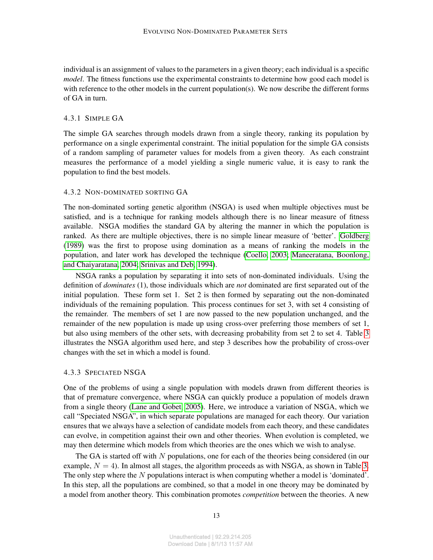individual is an assignment of values to the parameters in a given theory; each individual is a specific *model*. The fitness functions use the experimental constraints to determine how good each model is with reference to the other models in the current population(s). We now describe the different forms of GA in turn.

#### 4.3.1 SIMPLE GA

The simple GA searches through models drawn from a single theory, ranking its population by performance on a single experimental constraint. The initial population for the simple GA consists of a random sampling of parameter values for models from a given theory. As each constraint measures the performance of a model yielding a single numeric value, it is easy to rank the population to find the best models.

#### <span id="page-12-0"></span>4.3.2 NON-DOMINATED SORTING GA

The non-dominated sorting genetic algorithm (NSGA) is used when multiple objectives must be satisfied, and is a technique for ranking models although there is no linear measure of fitness available. NSGA modifies the standard GA by altering the manner in which the population is ranked. As there are multiple objectives, there is no simple linear measure of 'better'. [Goldberg](#page-27-7) [\(1989\)](#page-27-7) was the first to propose using domination as a means of ranking the models in the population, and later work has developed the technique [\(Coello, 2003;](#page-26-7) [Maneeratana, Boonlong,](#page-28-12) [and Chaiyaratana, 2004;](#page-28-12) [Srinivas and Deb, 1994\)](#page-29-8).

NSGA ranks a population by separating it into sets of non-dominated individuals. Using the definition of *dominates* (1), those individuals which are *not* dominated are first separated out of the initial population. These form set 1. Set 2 is then formed by separating out the non-dominated individuals of the remaining population. This process continues for set 3, with set 4 consisting of the remainder. The members of set 1 are now passed to the new population unchanged, and the remainder of the new population is made up using cross-over preferring those members of set 1, but also using members of the other sets, with decreasing probability from set 2 to set 4. Table [3](#page-13-0) illustrates the NSGA algorithm used here, and step 3 describes how the probability of cross-over changes with the set in which a model is found.

#### 4.3.3 SPECIATED NSGA

One of the problems of using a single population with models drawn from different theories is that of premature convergence, where NSGA can quickly produce a population of models drawn from a single theory [\(Lane and Gobet, 2005\)](#page-27-10). Here, we introduce a variation of NSGA, which we call "Speciated NSGA", in which separate populations are managed for each theory. Our variation ensures that we always have a selection of candidate models from each theory, and these candidates can evolve, in competition against their own and other theories. When evolution is completed, we may then determine which models from which theories are the ones which we wish to analyse.

The GA is started off with  $N$  populations, one for each of the theories being considered (in our example,  $N = 4$ ). In almost all stages, the algorithm proceeds as with NSGA, as shown in Table [3.](#page-13-0) The only step where the  $N$  populations interact is when computing whether a model is 'dominated'. In this step, all the populations are combined, so that a model in one theory may be dominated by a model from another theory. This combination promotes *competition* between the theories. A new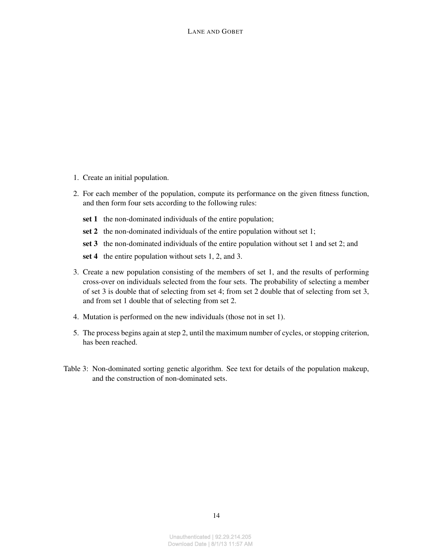- 1. Create an initial population.
- 2. For each member of the population, compute its performance on the given fitness function, and then form four sets according to the following rules:
	- set 1 the non-dominated individuals of the entire population;
	- set 2 the non-dominated individuals of the entire population without set 1;
	- set 3 the non-dominated individuals of the entire population without set 1 and set 2; and
	- set 4 the entire population without sets 1, 2, and 3.
- 3. Create a new population consisting of the members of set 1, and the results of performing cross-over on individuals selected from the four sets. The probability of selecting a member of set 3 is double that of selecting from set 4; from set 2 double that of selecting from set 3, and from set 1 double that of selecting from set 2.
- 4. Mutation is performed on the new individuals (those not in set 1).
- 5. The process begins again at step 2, until the maximum number of cycles, or stopping criterion, has been reached.
- <span id="page-13-0"></span>Table 3: Non-dominated sorting genetic algorithm. See text for details of the population makeup, and the construction of non-dominated sets.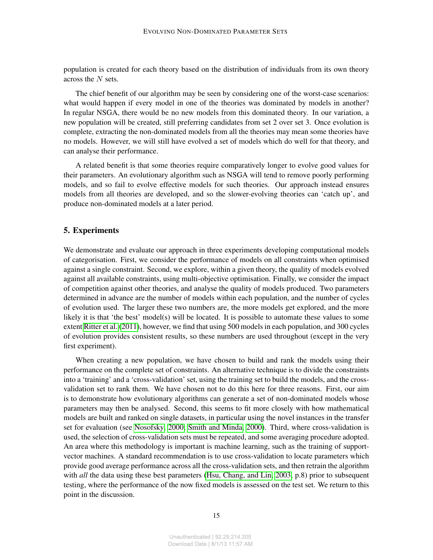population is created for each theory based on the distribution of individuals from its own theory across the  $N$  sets.

The chief benefit of our algorithm may be seen by considering one of the worst-case scenarios: what would happen if every model in one of the theories was dominated by models in another? In regular NSGA, there would be no new models from this dominated theory. In our variation, a new population will be created, still preferring candidates from set 2 over set 3. Once evolution is complete, extracting the non-dominated models from all the theories may mean some theories have no models. However, we will still have evolved a set of models which do well for that theory, and can analyse their performance.

A related benefit is that some theories require comparatively longer to evolve good values for their parameters. An evolutionary algorithm such as NSGA will tend to remove poorly performing models, and so fail to evolve effective models for such theories. Our approach instead ensures models from all theories are developed, and so the slower-evolving theories can 'catch up', and produce non-dominated models at a later period.

### 5. Experiments

We demonstrate and evaluate our approach in three experiments developing computational models of categorisation. First, we consider the performance of models on all constraints when optimised against a single constraint. Second, we explore, within a given theory, the quality of models evolved against all available constraints, using multi-objective optimisation. Finally, we consider the impact of competition against other theories, and analyse the quality of models produced. Two parameters determined in advance are the number of models within each population, and the number of cycles of evolution used. The larger these two numbers are, the more models get explored, and the more likely it is that 'the best' model(s) will be located. It is possible to automate these values to some extent [Ritter et al.](#page-29-9) [\(2011\)](#page-29-9), however, we find that using 500 models in each population, and 300 cycles of evolution provides consistent results, so these numbers are used throughout (except in the very first experiment).

When creating a new population, we have chosen to build and rank the models using their performance on the complete set of constraints. An alternative technique is to divide the constraints into a 'training' and a 'cross-validation' set, using the training set to build the models, and the crossvalidation set to rank them. We have chosen not to do this here for three reasons. First, our aim is to demonstrate how evolutionary algorithms can generate a set of non-dominated models whose parameters may then be analysed. Second, this seems to fit more closely with how mathematical models are built and ranked on single datasets, in particular using the novel instances in the transfer set for evaluation (see [Nosofsky, 2000;](#page-28-10) [Smith and Minda, 2000\)](#page-29-6). Third, where cross-validation is used, the selection of cross-validation sets must be repeated, and some averaging procedure adopted. An area where this methodology is important is machine learning, such as the training of supportvector machines. A standard recommendation is to use cross-validation to locate parameters which provide good average performance across all the cross-validation sets, and then retrain the algorithm with *all* the data using these best parameters [\(Hsu, Chang, and Lin, 2003,](#page-27-11) p.8) prior to subsequent testing, where the performance of the now fixed models is assessed on the test set. We return to this point in the discussion.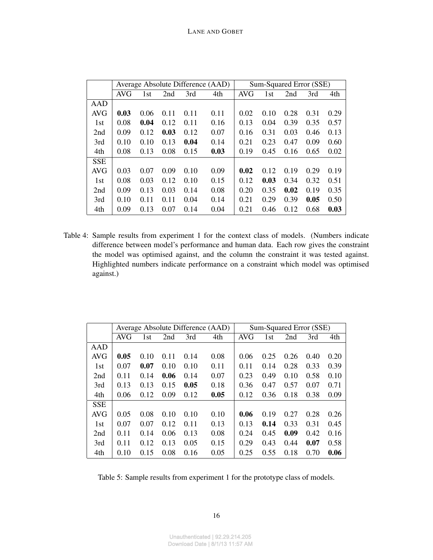|            |            |                 |      |      | Average Absolute Difference (AAD) | Sum-Squared Error (SSE) |                 |      |      |      |  |
|------------|------------|-----------------|------|------|-----------------------------------|-------------------------|-----------------|------|------|------|--|
|            | <b>AVG</b> | 1 <sub>st</sub> | 2nd  | 3rd  | 4th                               | <b>AVG</b>              | 1 <sub>st</sub> | 2nd  | 3rd  | 4th  |  |
| AAD        |            |                 |      |      |                                   |                         |                 |      |      |      |  |
| <b>AVG</b> | 0.03       | 0.06            | 0.11 | 0.11 | 0.11                              | 0.02                    | 0.10            | 0.28 | 0.31 | 0.29 |  |
| 1st        | 0.08       | 0.04            | 0.12 | 0.11 | 0.16                              | 0.13                    | 0.04            | 0.39 | 0.35 | 0.57 |  |
| 2nd        | 0.09       | 0.12            | 0.03 | 0.12 | 0.07                              | 0.16                    | 0.31            | 0.03 | 0.46 | 0.13 |  |
| 3rd        | 0.10       | 0.10            | 0.13 | 0.04 | 0.14                              | 0.21                    | 0.23            | 0.47 | 0.09 | 0.60 |  |
| 4th        | 0.08       | 0.13            | 0.08 | 0.15 | 0.03                              | 0.19                    | 0.45            | 0.16 | 0.65 | 0.02 |  |
| <b>SSE</b> |            |                 |      |      |                                   |                         |                 |      |      |      |  |
| <b>AVG</b> | 0.03       | 0.07            | 0.09 | 0.10 | 0.09                              | 0.02                    | 0.12            | 0.19 | 0.29 | 0.19 |  |
| 1st        | 0.08       | 0.03            | 0.12 | 0.10 | 0.15                              | 0.12                    | 0.03            | 0.34 | 0.32 | 0.51 |  |
| 2nd        | 0.09       | 0.13            | 0.03 | 0.14 | 0.08                              | 0.20                    | 0.35            | 0.02 | 0.19 | 0.35 |  |
| 3rd        | 0.10       | 0.11            | 0.11 | 0.04 | 0.14                              | 0.21                    | 0.29            | 0.39 | 0.05 | 0.50 |  |
| 4th        | 0.09       | 0.13            | 0.07 | 0.14 | 0.04                              | 0.21                    | 0.46            | 0.12 | 0.68 | 0.03 |  |

<span id="page-15-0"></span>Table 4: Sample results from experiment 1 for the context class of models. (Numbers indicate difference between model's performance and human data. Each row gives the constraint the model was optimised against, and the column the constraint it was tested against. Highlighted numbers indicate performance on a constraint which model was optimised against.)

|            |            |      |      |      | Average Absolute Difference (AAD) | Sum-Squared Error (SSE) |      |      |      |      |  |
|------------|------------|------|------|------|-----------------------------------|-------------------------|------|------|------|------|--|
|            | <b>AVG</b> | 1st  | 2nd  | 3rd  | 4th                               | <b>AVG</b>              | 1st  | 2nd  | 3rd  | 4th  |  |
| AAD        |            |      |      |      |                                   |                         |      |      |      |      |  |
| AVG        | 0.05       | 0.10 | 0.11 | 0.14 | 0.08                              | 0.06                    | 0.25 | 0.26 | 0.40 | 0.20 |  |
| 1st        | 0.07       | 0.07 | 0.10 | 0.10 | 0.11                              | 0.11                    | 0.14 | 0.28 | 0.33 | 0.39 |  |
| 2nd        | 0.11       | 0.14 | 0.06 | 0.14 | 0.07                              | 0.23                    | 0.49 | 0.10 | 0.58 | 0.10 |  |
| 3rd        | 0.13       | 0.13 | 0.15 | 0.05 | 0.18                              | 0.36                    | 0.47 | 0.57 | 0.07 | 0.71 |  |
| 4th        | 0.06       | 0.12 | 0.09 | 0.12 | 0.05                              | 0.12                    | 0.36 | 0.18 | 0.38 | 0.09 |  |
| <b>SSE</b> |            |      |      |      |                                   |                         |      |      |      |      |  |
| <b>AVG</b> | 0.05       | 0.08 | 0.10 | 0.10 | 0.10                              | 0.06                    | 0.19 | 0.27 | 0.28 | 0.26 |  |
| 1st        | 0.07       | 0.07 | 0.12 | 0.11 | 0.13                              | 0.13                    | 0.14 | 0.33 | 0.31 | 0.45 |  |
| 2nd        | 0.11       | 0.14 | 0.06 | 0.13 | 0.08                              | 0.24                    | 0.45 | 0.09 | 0.42 | 0.16 |  |
| 3rd        | 0.11       | 0.12 | 0.13 | 0.05 | 0.15                              | 0.29                    | 0.43 | 0.44 | 0.07 | 0.58 |  |
| 4th        | 0.10       | 0.15 | 0.08 | 0.16 | 0.05                              | 0.25                    | 0.55 | 0.18 | 0.70 | 0.06 |  |

<span id="page-15-1"></span>Table 5: Sample results from experiment 1 for the prototype class of models.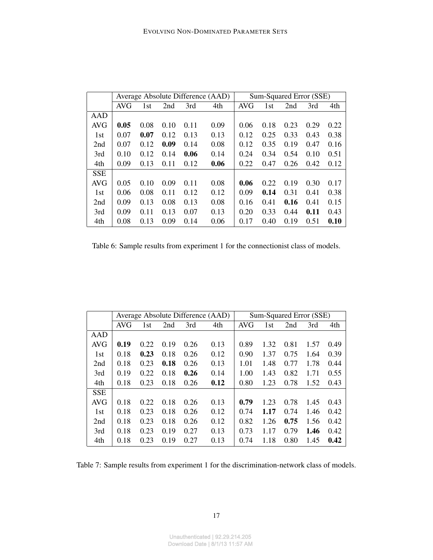|            |            |      |      |      | Average Absolute Difference (AAD) | Sum-Squared Error (SSE) |      |      |      |      |
|------------|------------|------|------|------|-----------------------------------|-------------------------|------|------|------|------|
|            | <b>AVG</b> | 1st  | 2nd  | 3rd  | 4th                               | <b>AVG</b>              | 1st  | 2nd  | 3rd  | 4th  |
| AAD        |            |      |      |      |                                   |                         |      |      |      |      |
| <b>AVG</b> | 0.05       | 0.08 | 0.10 | 0.11 | 0.09                              | 0.06                    | 0.18 | 0.23 | 0.29 | 0.22 |
| 1st        | 0.07       | 0.07 | 0.12 | 0.13 | 0.13                              | 0.12                    | 0.25 | 0.33 | 0.43 | 0.38 |
| 2nd        | 0.07       | 0.12 | 0.09 | 0.14 | 0.08                              | 0.12                    | 0.35 | 0.19 | 0.47 | 0.16 |
| 3rd        | 0.10       | 0.12 | 0.14 | 0.06 | 0.14                              | 0.24                    | 0.34 | 0.54 | 0.10 | 0.51 |
| 4th        | 0.09       | 0.13 | 0.11 | 0.12 | 0.06                              | 0.22                    | 0.47 | 0.26 | 0.42 | 0.12 |
| <b>SSE</b> |            |      |      |      |                                   |                         |      |      |      |      |
| <b>AVG</b> | 0.05       | 0.10 | 0.09 | 0.11 | 0.08                              | 0.06                    | 0.22 | 0.19 | 0.30 | 0.17 |
| 1st        | 0.06       | 0.08 | 0.11 | 0.12 | 0.12                              | 0.09                    | 0.14 | 0.31 | 0.41 | 0.38 |
| 2nd        | 0.09       | 0.13 | 0.08 | 0.13 | 0.08                              | 0.16                    | 0.41 | 0.16 | 0.41 | 0.15 |
| 3rd        | 0.09       | 0.11 | 0.13 | 0.07 | 0.13                              | 0.20                    | 0.33 | 0.44 | 0.11 | 0.43 |
| 4th        | 0.08       | 0.13 | 0.09 | 0.14 | 0.06                              | 0.17                    | 0.40 | 0.19 | 0.51 | 0.10 |

<span id="page-16-0"></span>Table 6: Sample results from experiment 1 for the connectionist class of models.

|            |            |      |      |      | Average Absolute Difference (AAD) | Sum-Squared Error (SSE) |      |      |      |      |
|------------|------------|------|------|------|-----------------------------------|-------------------------|------|------|------|------|
|            | <b>AVG</b> | 1st  | 2nd  | 3rd  | 4th                               | AVG                     | 1st  | 2nd  | 3rd  | 4th  |
| AAD        |            |      |      |      |                                   |                         |      |      |      |      |
| <b>AVG</b> | 0.19       | 0.22 | 0.19 | 0.26 | 0.13                              | 0.89                    | 1.32 | 0.81 | 1.57 | 0.49 |
| 1st        | 0.18       | 0.23 | 0.18 | 0.26 | 0.12                              | 0.90                    | 1.37 | 0.75 | 1.64 | 0.39 |
| 2nd        | 0.18       | 0.23 | 0.18 | 0.26 | 0.13                              | 1.01                    | 1.48 | 0.77 | 1.78 | 0.44 |
| 3rd        | 0.19       | 0.22 | 0.18 | 0.26 | 0.14                              | 1.00                    | 1.43 | 0.82 | 1.71 | 0.55 |
| 4th        | 0.18       | 0.23 | 0.18 | 0.26 | 0.12                              | 0.80                    | 1.23 | 0.78 | 1.52 | 0.43 |
| <b>SSE</b> |            |      |      |      |                                   |                         |      |      |      |      |
| <b>AVG</b> | 0.18       | 0.22 | 0.18 | 0.26 | 0.13                              | 0.79                    | 1.23 | 0.78 | 1.45 | 0.43 |
| 1st        | 0.18       | 0.23 | 0.18 | 0.26 | 0.12                              | 0.74                    | 1.17 | 0.74 | 1.46 | 0.42 |
| 2nd        | 0.18       | 0.23 | 0.18 | 0.26 | 0.12                              | 0.82                    | 1.26 | 0.75 | 1.56 | 0.42 |
| 3rd        | 0.18       | 0.23 | 0.19 | 0.27 | 0.13                              | 0.73                    | 1.17 | 0.79 | 1.46 | 0.42 |
| 4th        | 0.18       | 0.23 | 0.19 | 0.27 | 0.13                              | 0.74                    | 1.18 | 0.80 | 1.45 | 0.42 |

<span id="page-16-1"></span>Table 7: Sample results from experiment 1 for the discrimination-network class of models.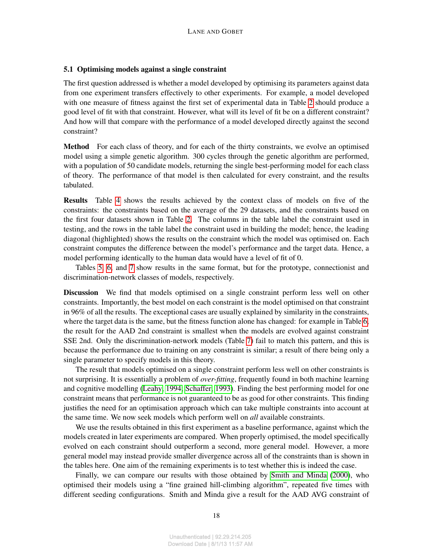#### 5.1 Optimising models against a single constraint

The first question addressed is whether a model developed by optimising its parameters against data from one experiment transfers effectively to other experiments. For example, a model developed with one measure of fitness against the first set of experimental data in Table [2](#page-5-0) should produce a good level of fit with that constraint. However, what will its level of fit be on a different constraint? And how will that compare with the performance of a model developed directly against the second constraint?

Method For each class of theory, and for each of the thirty constraints, we evolve an optimised model using a simple genetic algorithm. 300 cycles through the genetic algorithm are performed, with a population of 50 candidate models, returning the single best-performing model for each class of theory. The performance of that model is then calculated for every constraint, and the results tabulated.

Results Table [4](#page-15-0) shows the results achieved by the context class of models on five of the constraints: the constraints based on the average of the 29 datasets, and the constraints based on the first four datasets shown in Table [2.](#page-5-0) The columns in the table label the constraint used in testing, and the rows in the table label the constraint used in building the model; hence, the leading diagonal (highlighted) shows the results on the constraint which the model was optimised on. Each constraint computes the difference between the model's performance and the target data. Hence, a model performing identically to the human data would have a level of fit of 0.

Tables [5,](#page-15-1) [6,](#page-16-0) and [7](#page-16-1) show results in the same format, but for the prototype, connectionist and discrimination-network classes of models, respectively.

Discussion We find that models optimised on a single constraint perform less well on other constraints. Importantly, the best model on each constraint is the model optimised on that constraint in 96% of all the results. The exceptional cases are usually explained by similarity in the constraints, where the target data is the same, but the fitness function alone has changed: for example in Table [6,](#page-16-0) the result for the AAD 2nd constraint is smallest when the models are evolved against constraint SSE 2nd. Only the discrimination-network models (Table [7\)](#page-16-1) fail to match this pattern, and this is because the performance due to training on any constraint is similar; a result of there being only a single parameter to specify models in this theory.

The result that models optimised on a single constraint perform less well on other constraints is not surprising. It is essentially a problem of *over-fitting*, frequently found in both machine learning and cognitive modelling [\(Leahy, 1994;](#page-28-13) [Schaffer, 1993\)](#page-29-10). Finding the best performing model for one constraint means that performance is not guaranteed to be as good for other constraints. This finding justifies the need for an optimisation approach which can take multiple constraints into account at the same time. We now seek models which perform well on *all* available constraints.

We use the results obtained in this first experiment as a baseline performance, against which the models created in later experiments are compared. When properly optimised, the model specifically evolved on each constraint should outperform a second, more general model. However, a more general model may instead provide smaller divergence across all of the constraints than is shown in the tables here. One aim of the remaining experiments is to test whether this is indeed the case.

Finally, we can compare our results with those obtained by [Smith and Minda](#page-29-6) [\(2000\)](#page-29-6), who optimised their models using a "fine grained hill-climbing algorithm", repeated five times with different seeding configurations. Smith and Minda give a result for the AAD AVG constraint of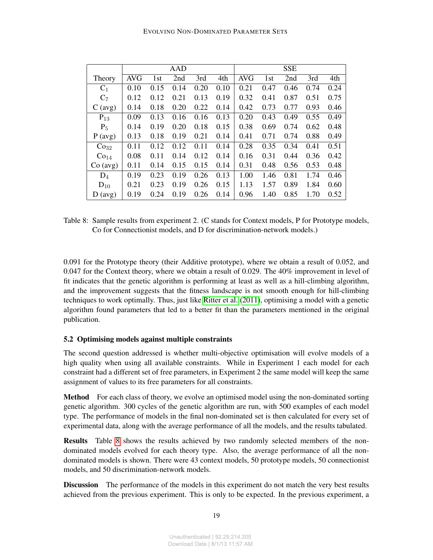|                        |            |      | AAD  |      |      | <b>SSE</b> |      |      |      |      |
|------------------------|------------|------|------|------|------|------------|------|------|------|------|
| Theory                 | <b>AVG</b> | 1st  | 2nd  | 3rd  | 4th  | <b>AVG</b> | 1st  | 2nd  | 3rd  | 4th  |
| $C_1$                  | 0.10       | 0.15 | 0.14 | 0.20 | 0.10 | 0.21       | 0.47 | 0.46 | 0.74 | 0.24 |
| $C_7$                  | 0.12       | 0.12 | 0.21 | 0.13 | 0.19 | 0.32       | 0.41 | 0.87 | 0.51 | 0.75 |
| $C \left( avg \right)$ | 0.14       | 0.18 | 0.20 | 0.22 | 0.14 | 0.42       | 0.73 | 0.77 | 0.93 | 0.46 |
| $P_{13}$               | 0.09       | 0.13 | 0.16 | 0.16 | 0.13 | 0.20       | 0.43 | 0.49 | 0.55 | 0.49 |
| $P_5$                  | 0.14       | 0.19 | 0.20 | 0.18 | 0.15 | 0.38       | 0.69 | 0.74 | 0.62 | 0.48 |
| P (avg)                | 0.13       | 0.18 | 0.19 | 0.21 | 0.14 | 0.41       | 0.71 | 0.74 | 0.88 | 0.49 |
| Co <sub>32</sub>       | 0.11       | 0.12 | 0.12 | 0.11 | 0.14 | 0.28       | 0.35 | 0.34 | 0.41 | 0.51 |
| Co <sub>14</sub>       | 0.08       | 0.11 | 0.14 | 0.12 | 0.14 | 0.16       | 0.31 | 0.44 | 0.36 | 0.42 |
| Co (avg)               | 0.11       | 0.14 | 0.15 | 0.15 | 0.14 | 0.31       | 0.48 | 0.56 | 0.53 | 0.48 |
| $D_4$                  | 0.19       | 0.23 | 0.19 | 0.26 | 0.13 | 1.00       | 1.46 | 0.81 | 1.74 | 0.46 |
| $D_{10}$               | 0.21       | 0.23 | 0.19 | 0.26 | 0.15 | 1.13       | 1.57 | 0.89 | 1.84 | 0.60 |
| D (avg)                | 0.19       | 0.24 | 0.19 | 0.26 | 0.14 | 0.96       | 1.40 | 0.85 | 1.70 | 0.52 |

<span id="page-18-0"></span>Table 8: Sample results from experiment 2. (C stands for Context models, P for Prototype models, Co for Connectionist models, and D for discrimination-network models.)

0.091 for the Prototype theory (their Additive prototype), where we obtain a result of 0.052, and 0.047 for the Context theory, where we obtain a result of 0.029. The 40% improvement in level of fit indicates that the genetic algorithm is performing at least as well as a hill-climbing algorithm, and the improvement suggests that the fitness landscape is not smooth enough for hill-climbing techniques to work optimally. Thus, just like [Ritter et al.](#page-29-9) [\(2011\)](#page-29-9), optimising a model with a genetic algorithm found parameters that led to a better fit than the parameters mentioned in the original publication.

# 5.2 Optimising models against multiple constraints

The second question addressed is whether multi-objective optimisation will evolve models of a high quality when using all available constraints. While in Experiment 1 each model for each constraint had a different set of free parameters, in Experiment 2 the same model will keep the same assignment of values to its free parameters for all constraints.

Method For each class of theory, we evolve an optimised model using the non-dominated sorting genetic algorithm. 300 cycles of the genetic algorithm are run, with 500 examples of each model type. The performance of models in the final non-dominated set is then calculated for every set of experimental data, along with the average performance of all the models, and the results tabulated.

Results Table [8](#page-18-0) shows the results achieved by two randomly selected members of the nondominated models evolved for each theory type. Also, the average performance of all the nondominated models is shown. There were 43 context models, 50 prototype models, 50 connectionist models, and 50 discrimination-network models.

**Discussion** The performance of the models in this experiment do not match the very best results achieved from the previous experiment. This is only to be expected. In the previous experiment, a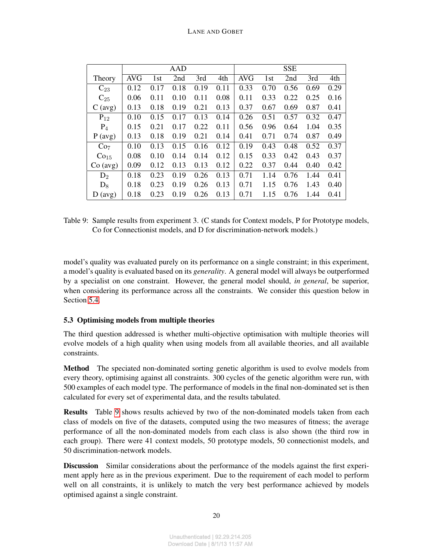|                        |            |      | AAD  |      |      | <b>SSE</b> |      |      |      |      |
|------------------------|------------|------|------|------|------|------------|------|------|------|------|
| Theory                 | <b>AVG</b> | 1st  | 2nd  | 3rd  | 4th  | <b>AVG</b> | 1st  | 2nd  | 3rd  | 4th  |
| $C_{23}$               | 0.12       | 0.17 | 0.18 | 0.19 | 0.11 | 0.33       | 0.70 | 0.56 | 0.69 | 0.29 |
| $C_{25}$               | 0.06       | 0.11 | 0.10 | 0.11 | 0.08 | 0.11       | 0.33 | 0.22 | 0.25 | 0.16 |
| $C \left( avg \right)$ | 0.13       | 0.18 | 0.19 | 0.21 | 0.13 | 0.37       | 0.67 | 0.69 | 0.87 | 0.41 |
| $P_{12}$               | 0.10       | 0.15 | 0.17 | 0.13 | 0.14 | 0.26       | 0.51 | 0.57 | 0.32 | 0.47 |
| $P_4$                  | 0.15       | 0.21 | 0.17 | 0.22 | 0.11 | 0.56       | 0.96 | 0.64 | 1.04 | 0.35 |
| P (avg)                | 0.13       | 0.18 | 0.19 | 0.21 | 0.14 | 0.41       | 0.71 | 0.74 | 0.87 | 0.49 |
| Co <sub>7</sub>        | 0.10       | 0.13 | 0.15 | 0.16 | 0.12 | 0.19       | 0.43 | 0.48 | 0.52 | 0.37 |
| Co <sub>15</sub>       | 0.08       | 0.10 | 0.14 | 0.14 | 0.12 | 0.15       | 0.33 | 0.42 | 0.43 | 0.37 |
| Co (avg)               | 0.09       | 0.12 | 0.13 | 0.13 | 0.12 | 0.22       | 0.37 | 0.44 | 0.40 | 0.42 |
| $D_2$                  | 0.18       | 0.23 | 0.19 | 0.26 | 0.13 | 0.71       | 1.14 | 0.76 | 1.44 | 0.41 |
| $D_8$                  | 0.18       | 0.23 | 0.19 | 0.26 | 0.13 | 0.71       | 1.15 | 0.76 | 1.43 | 0.40 |
| D (avg)                | 0.18       | 0.23 | 0.19 | 0.26 | 0.13 | 0.71       | 1.15 | 0.76 | 1.44 | 0.41 |

<span id="page-19-0"></span>Table 9: Sample results from experiment 3. (C stands for Context models, P for Prototype models, Co for Connectionist models, and D for discrimination-network models.)

model's quality was evaluated purely on its performance on a single constraint; in this experiment, a model's quality is evaluated based on its *generality*. A general model will always be outperformed by a specialist on one constraint. However, the general model should, *in general*, be superior, when considering its performance across all the constraints. We consider this question below in Section [5.4.](#page-20-0)

## 5.3 Optimising models from multiple theories

The third question addressed is whether multi-objective optimisation with multiple theories will evolve models of a high quality when using models from all available theories, and all available constraints.

Method The speciated non-dominated sorting genetic algorithm is used to evolve models from every theory, optimising against all constraints. 300 cycles of the genetic algorithm were run, with 500 examples of each model type. The performance of models in the final non-dominated set is then calculated for every set of experimental data, and the results tabulated.

Results Table [9](#page-19-0) shows results achieved by two of the non-dominated models taken from each class of models on five of the datasets, computed using the two measures of fitness; the average performance of all the non-dominated models from each class is also shown (the third row in each group). There were 41 context models, 50 prototype models, 50 connectionist models, and 50 discrimination-network models.

Discussion Similar considerations about the performance of the models against the first experiment apply here as in the previous experiment. Due to the requirement of each model to perform well on all constraints, it is unlikely to match the very best performance achieved by models optimised against a single constraint.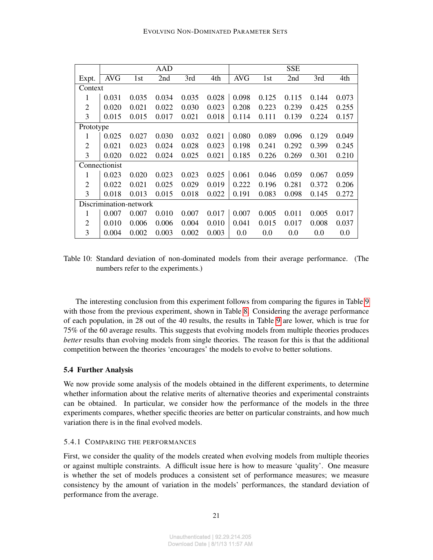|                |                        |       | <b>AAD</b> |       |       |            |       | <b>SSE</b> |       |       |
|----------------|------------------------|-------|------------|-------|-------|------------|-------|------------|-------|-------|
| Expt.          | <b>AVG</b>             | 1st   | 2nd        | 3rd   | 4th   | <b>AVG</b> | 1st   | 2nd        | 3rd   | 4th   |
| Context        |                        |       |            |       |       |            |       |            |       |       |
| 1              | 0.031                  | 0.035 | 0.034      | 0.035 | 0.028 | 0.098      | 0.125 | 0.115      | 0.144 | 0.073 |
| $\overline{2}$ | 0.020                  | 0.021 | 0.022      | 0.030 | 0.023 | 0.208      | 0.223 | 0.239      | 0.425 | 0.255 |
| 3              | 0.015                  | 0.015 | 0.017      | 0.021 | 0.018 | 0.114      | 0.111 | 0.139      | 0.224 | 0.157 |
| Prototype      |                        |       |            |       |       |            |       |            |       |       |
| 1              | 0.025                  | 0.027 | 0.030      | 0.032 | 0.021 | 0.080      | 0.089 | 0.096      | 0.129 | 0.049 |
| $\overline{2}$ | 0.021                  | 0.023 | 0.024      | 0.028 | 0.023 | 0.198      | 0.241 | 0.292      | 0.399 | 0.245 |
| 3              | 0.020                  | 0.022 | 0.024      | 0.025 | 0.021 | 0.185      | 0.226 | 0.269      | 0.301 | 0.210 |
|                | Connectionist          |       |            |       |       |            |       |            |       |       |
| 1              | 0.023                  | 0.020 | 0.023      | 0.023 | 0.025 | 0.061      | 0.046 | 0.059      | 0.067 | 0.059 |
| $\overline{2}$ | 0.022                  | 0.021 | 0.025      | 0.029 | 0.019 | 0.222      | 0.196 | 0.281      | 0.372 | 0.206 |
| 3              | 0.018                  | 0.013 | 0.015      | 0.018 | 0.022 | 0.191      | 0.083 | 0.098      | 0.145 | 0.272 |
|                | Discrimination-network |       |            |       |       |            |       |            |       |       |
| 1              | 0.007                  | 0.007 | 0.010      | 0.007 | 0.017 | 0.007      | 0.005 | 0.011      | 0.005 | 0.017 |
| $\overline{2}$ | 0.010                  | 0.006 | 0.006      | 0.004 | 0.010 | 0.041      | 0.015 | 0.017      | 0.008 | 0.037 |
| 3              | 0.004                  | 0.002 | 0.003      | 0.002 | 0.003 | 0.0        | 0.0   | 0.0        | 0.0   | 0.0   |

<span id="page-20-1"></span>Table 10: Standard deviation of non-dominated models from their average performance. (The numbers refer to the experiments.)

The interesting conclusion from this experiment follows from comparing the figures in Table [9](#page-19-0) with those from the previous experiment, shown in Table [8.](#page-18-0) Considering the average performance of each population, in 28 out of the 40 results, the results in Table [9](#page-19-0) are lower, which is true for 75% of the 60 average results. This suggests that evolving models from multiple theories produces *better* results than evolving models from single theories. The reason for this is that the additional competition between the theories 'encourages' the models to evolve to better solutions.

## <span id="page-20-0"></span>5.4 Further Analysis

We now provide some analysis of the models obtained in the different experiments, to determine whether information about the relative merits of alternative theories and experimental constraints can be obtained. In particular, we consider how the performance of the models in the three experiments compares, whether specific theories are better on particular constraints, and how much variation there is in the final evolved models.

#### 5.4.1 COMPARING THE PERFORMANCES

First, we consider the quality of the models created when evolving models from multiple theories or against multiple constraints. A difficult issue here is how to measure 'quality'. One measure is whether the set of models produces a consistent set of performance measures; we measure consistency by the amount of variation in the models' performances, the standard deviation of performance from the average.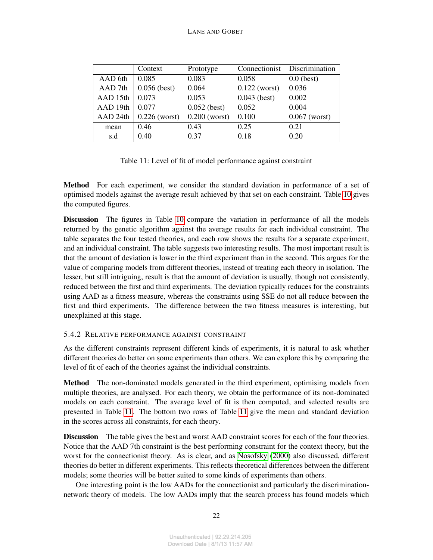|          | Context         | Prototype       | Connectionist   | Discrimination  |
|----------|-----------------|-----------------|-----------------|-----------------|
| AAD 6th  | 0.085           | 0.083           | 0.058           | $0.0$ (best)    |
| AAD 7th  | $0.056$ (best)  | 0.064           | $0.122$ (worst) | 0.036           |
| AAD 15th | 0.073           | 0.053           | $0.043$ (best)  | 0.002           |
| AAD 19th | 0.077           | $0.052$ (best)  | 0.052           | 0.004           |
| AAD 24th | $0.226$ (worst) | $0.200$ (worst) | 0.100           | $0.067$ (worst) |
| mean     | 0.46            | 0.43            | 0.25            | 0.21            |
| s.d      | 0.40            | 0.37            | 0.18            | 0.20            |

<span id="page-21-0"></span>Table 11: Level of fit of model performance against constraint

Method For each experiment, we consider the standard deviation in performance of a set of optimised models against the average result achieved by that set on each constraint. Table [10](#page-20-1) gives the computed figures.

Discussion The figures in Table [10](#page-20-1) compare the variation in performance of all the models returned by the genetic algorithm against the average results for each individual constraint. The table separates the four tested theories, and each row shows the results for a separate experiment, and an individual constraint. The table suggests two interesting results. The most important result is that the amount of deviation is lower in the third experiment than in the second. This argues for the value of comparing models from different theories, instead of treating each theory in isolation. The lesser, but still intriguing, result is that the amount of deviation is usually, though not consistently, reduced between the first and third experiments. The deviation typically reduces for the constraints using AAD as a fitness measure, whereas the constraints using SSE do not all reduce between the first and third experiments. The difference between the two fitness measures is interesting, but unexplained at this stage.

# 5.4.2 RELATIVE PERFORMANCE AGAINST CONSTRAINT

As the different constraints represent different kinds of experiments, it is natural to ask whether different theories do better on some experiments than others. We can explore this by comparing the level of fit of each of the theories against the individual constraints.

Method The non-dominated models generated in the third experiment, optimising models from multiple theories, are analysed. For each theory, we obtain the performance of its non-dominated models on each constraint. The average level of fit is then computed, and selected results are presented in Table [11.](#page-21-0) The bottom two rows of Table [11](#page-21-0) give the mean and standard deviation in the scores across all constraints, for each theory.

Discussion The table gives the best and worst AAD constraint scores for each of the four theories. Notice that the AAD 7th constraint is the best performing constraint for the context theory, but the worst for the connectionist theory. As is clear, and as [Nosofsky](#page-28-10) [\(2000\)](#page-28-10) also discussed, different theories do better in different experiments. This reflects theoretical differences between the different models; some theories will be better suited to some kinds of experiments than others.

One interesting point is the low AADs for the connectionist and particularly the discriminationnetwork theory of models. The low AADs imply that the search process has found models which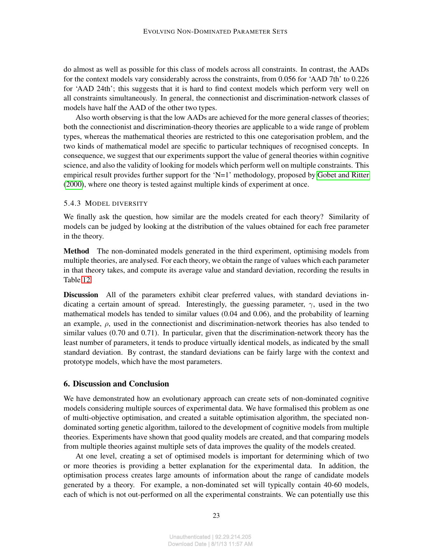do almost as well as possible for this class of models across all constraints. In contrast, the AADs for the context models vary considerably across the constraints, from 0.056 for 'AAD 7th' to 0.226 for 'AAD 24th'; this suggests that it is hard to find context models which perform very well on all constraints simultaneously. In general, the connectionist and discrimination-network classes of models have half the AAD of the other two types.

Also worth observing is that the low AADs are achieved for the more general classes of theories; both the connectionist and discrimination-theory theories are applicable to a wide range of problem types, whereas the mathematical theories are restricted to this one categorisation problem, and the two kinds of mathematical model are specific to particular techniques of recognised concepts. In consequence, we suggest that our experiments support the value of general theories within cognitive science, and also the validity of looking for models which perform well on multiple constraints. This empirical result provides further support for the 'N=1' methodology, proposed by [Gobet and Ritter](#page-27-1) [\(2000\)](#page-27-1), where one theory is tested against multiple kinds of experiment at once.

#### 5.4.3 MODEL DIVERSITY

We finally ask the question, how similar are the models created for each theory? Similarity of models can be judged by looking at the distribution of the values obtained for each free parameter in the theory.

Method The non-dominated models generated in the third experiment, optimising models from multiple theories, are analysed. For each theory, we obtain the range of values which each parameter in that theory takes, and compute its average value and standard deviation, recording the results in Table [12.](#page-23-0)

Discussion All of the parameters exhibit clear preferred values, with standard deviations indicating a certain amount of spread. Interestingly, the guessing parameter,  $\gamma$ , used in the two mathematical models has tended to similar values (0.04 and 0.06), and the probability of learning an example,  $\rho$ , used in the connectionist and discrimination-network theories has also tended to similar values (0.70 and 0.71). In particular, given that the discrimination-network theory has the least number of parameters, it tends to produce virtually identical models, as indicated by the small standard deviation. By contrast, the standard deviations can be fairly large with the context and prototype models, which have the most parameters.

#### 6. Discussion and Conclusion

We have demonstrated how an evolutionary approach can create sets of non-dominated cognitive models considering multiple sources of experimental data. We have formalised this problem as one of multi-objective optimisation, and created a suitable optimisation algorithm, the speciated nondominated sorting genetic algorithm, tailored to the development of cognitive models from multiple theories. Experiments have shown that good quality models are created, and that comparing models from multiple theories against multiple sets of data improves the quality of the models created.

At one level, creating a set of optimised models is important for determining which of two or more theories is providing a better explanation for the experimental data. In addition, the optimisation process creates large amounts of information about the range of candidate models generated by a theory. For example, a non-dominated set will typically contain 40-60 models, each of which is not out-performed on all the experimental constraints. We can potentially use this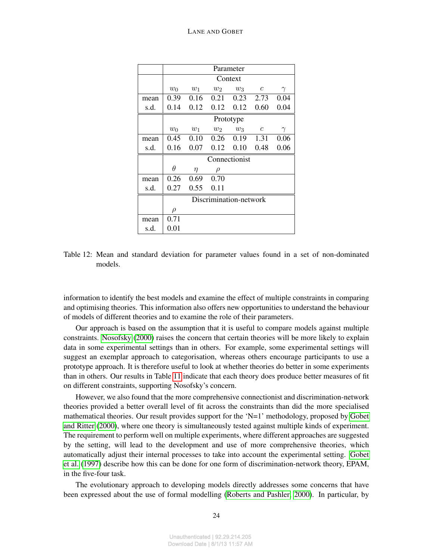|      |           |       |                        | Parameter         |                |          |  |  |  |  |
|------|-----------|-------|------------------------|-------------------|----------------|----------|--|--|--|--|
|      |           |       |                        | Context           |                |          |  |  |  |  |
|      | $w_0$     | $w_1$ | $w_2$                  | $w_3$             | $\mathfrak{c}$ | $\gamma$ |  |  |  |  |
| mean | 0.39      | 0.16  | 0.21                   | 0.23              | 2.73           | 0.04     |  |  |  |  |
| s.d. | 0.14      | 0.12  |                        | $0.12 \quad 0.12$ | 0.60           | 0.04     |  |  |  |  |
|      | Prototype |       |                        |                   |                |          |  |  |  |  |
|      | $w_0$     | $w_1$ | $w_2$                  | $w_3$             | $\mathfrak{c}$ |          |  |  |  |  |
| mean | 0.45      | 0.10  | 0.26                   | 0.19              | 1.31           | 0.06     |  |  |  |  |
| s.d. | 0.16      | 0.07  | 0.12                   | 0.10              | 0.48           | 0.06     |  |  |  |  |
|      |           |       |                        | Connectionist     |                |          |  |  |  |  |
|      | $\theta$  | η     | ρ                      |                   |                |          |  |  |  |  |
| mean | 0.26      | 0.69  | 0.70                   |                   |                |          |  |  |  |  |
| s.d. | 0.27      | 0.55  | 0.11                   |                   |                |          |  |  |  |  |
|      |           |       | Discrimination-network |                   |                |          |  |  |  |  |
|      | $\rho$    |       |                        |                   |                |          |  |  |  |  |
| mean | 0.71      |       |                        |                   |                |          |  |  |  |  |
| s.d. | 0.01      |       |                        |                   |                |          |  |  |  |  |

<span id="page-23-0"></span>Table 12: Mean and standard deviation for parameter values found in a set of non-dominated models.

information to identify the best models and examine the effect of multiple constraints in comparing and optimising theories. This information also offers new opportunities to understand the behaviour of models of different theories and to examine the role of their parameters.

Our approach is based on the assumption that it is useful to compare models against multiple constraints. [Nosofsky](#page-28-10) [\(2000\)](#page-28-10) raises the concern that certain theories will be more likely to explain data in some experimental settings than in others. For example, some experimental settings will suggest an exemplar approach to categorisation, whereas others encourage participants to use a prototype approach. It is therefore useful to look at whether theories do better in some experiments than in others. Our results in Table [11](#page-21-0) indicate that each theory does produce better measures of fit on different constraints, supporting Nosofsky's concern.

However, we also found that the more comprehensive connectionist and discrimination-network theories provided a better overall level of fit across the constraints than did the more specialised mathematical theories. Our result provides support for the 'N=1' methodology, proposed by [Gobet](#page-27-1) [and Ritter](#page-27-1) [\(2000\)](#page-27-1), where one theory is simultaneously tested against multiple kinds of experiment. The requirement to perform well on multiple experiments, where different approaches are suggested by the setting, will lead to the development and use of more comprehensive theories, which automatically adjust their internal processes to take into account the experimental setting. [Gobet](#page-27-12) [et al.](#page-27-12) [\(1997\)](#page-27-12) describe how this can be done for one form of discrimination-network theory, EPAM, in the five-four task.

The evolutionary approach to developing models directly addresses some concerns that have been expressed about the use of formal modelling [\(Roberts and Pashler, 2000\)](#page-29-2). In particular, by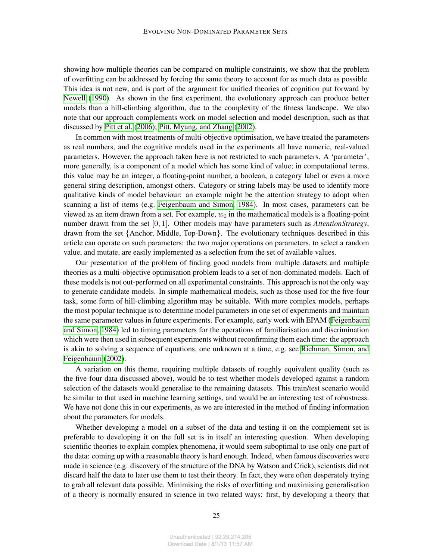showing how multiple theories can be compared on multiple constraints, we show that the problem of overfitting can be addressed by forcing the same theory to account for as much data as possible. This idea is not new, and is part of the argument for unified theories of cognition put forward by [Newell](#page-28-4) [\(1990\)](#page-28-4). As shown in the first experiment, the evolutionary approach can produce better models than a hill-climbing algorithm, due to the complexity of the fitness landscape. We also note that our approach complements work on model selection and model description, such as that discussed by [Pitt et al.](#page-28-14) [\(2006\)](#page-28-14); [Pitt, Myung, and Zhang](#page-28-15) [\(2002\)](#page-28-15).

In common with most treatments of multi-objective optimisation, we have treated the parameters as real numbers, and the cognitive models used in the experiments all have numeric, real-valued parameters. However, the approach taken here is not restricted to such parameters. A 'parameter', more generally, is a component of a model which has some kind of value; in computational terms, this value may be an integer, a floating-point number, a boolean, a category label or even a more general string description, amongst others. Category or string labels may be used to identify more qualitative kinds of model behaviour: an example might be the attention strategy to adopt when scanning a list of items (e.g. [Feigenbaum and Simon, 1984\)](#page-26-8). In most cases, parameters can be viewed as an item drawn from a set. For example,  $w_0$  in the mathematical models is a floating-point number drawn from the set [0, 1]. Other models may have parameters such as *AttentionStrategy*, drawn from the set {Anchor, Middle, Top-Down}. The evolutionary techniques described in this article can operate on such parameters: the two major operations on parameters, to select a random value, and mutate, are easily implemented as a selection from the set of available values.

Our presentation of the problem of finding good models from multiple datasets and multiple theories as a multi-objective optimisation problem leads to a set of non-dominated models. Each of these models is not out-performed on all experimental constraints. This approach is not the only way to generate candidate models. In simple mathematical models, such as those used for the five-four task, some form of hill-climbing algorithm may be suitable. With more complex models, perhaps the most popular technique is to determine model parameters in one set of experiments and maintain the same parameter values in future experiments. For example, early work with EPAM [\(Feigenbaum](#page-26-8) [and Simon, 1984\)](#page-26-8) led to timing parameters for the operations of familiarisation and discrimination which were then used in subsequent experiments without reconfirming them each time: the approach is akin to solving a sequence of equations, one unknown at a time, e.g. see [Richman, Simon, and](#page-28-16) [Feigenbaum](#page-28-16) [\(2002\)](#page-28-16).

A variation on this theme, requiring multiple datasets of roughly equivalent quality (such as the five-four data discussed above), would be to test whether models developed against a random selection of the datasets would generalise to the remaining datasets. This train/test scenario would be similar to that used in machine learning settings, and would be an interesting test of robustness. We have not done this in our experiments, as we are interested in the method of finding information about the parameters for models.

Whether developing a model on a subset of the data and testing it on the complement set is preferable to developing it on the full set is in itself an interesting question. When developing scientific theories to explain complex phenomena, it would seem suboptimal to use only one part of the data: coming up with a reasonable theory is hard enough. Indeed, when famous discoveries were made in science (e.g. discovery of the structure of the DNA by Watson and Crick), scientists did not discard half the data to later use them to test their theory. In fact, they were often desperately trying to grab all relevant data possible. Minimising the risks of overfitting and maximising generalisation of a theory is normally ensured in science in two related ways: first, by developing a theory that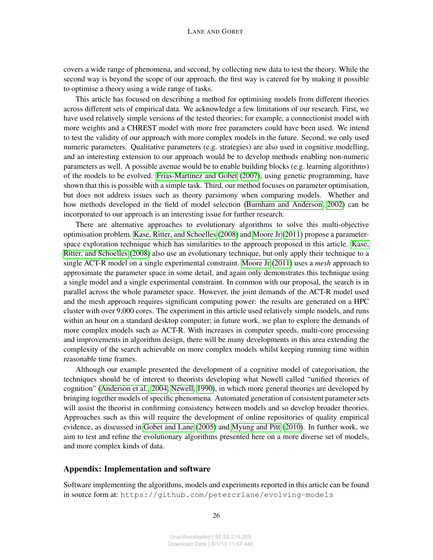covers a wide range of phenomena, and second, by collecting new data to test the theory. While the second way is beyond the scope of our approach, the first way is catered for by making it possible to optimise a theory using a wide range of tasks.

This article has focused on describing a method for optimising models from different theories across different sets of empirical data. We acknowledge a few limitations of our research. First, we have used relatively simple versions of the tested theories; for example, a connectionist model with more weights and a CHREST model with more free parameters could have been used. We intend to test the validity of our approach with more complex models in the future. Second, we only used numeric parameters. Qualitative parameters (e.g. strategies) are also used in cognitive modelling, and an interesting extension to our approach would be to develop methods enabling non-numeric parameters as well. A possible avenue would be to enable building blocks (e.g. learning algorithms) of the models to be evolved. [Frias-Martinez and Gobet](#page-26-9) [\(2007\)](#page-26-9), using genetic programming, have shown that this is possible with a simple task. Third, our method focuses on parameter optimisation, but does not address issues such as theory parsimony when comparing models. Whether and how methods developed in the field of model selection [\(Burnham and Anderson, 2002\)](#page-26-10) can be incorporated to our approach is an interesting issue for further research.

There are alternative approaches to evolutionary algorithms to solve this multi-objective optimisation problem. [Kase, Ritter, and Schoelles](#page-27-6) [\(2008\)](#page-27-6) and [Moore Jr](#page-28-5) [\(2011\)](#page-28-5) propose a parameterspace exploration technique which has similarities to the approach proposed in this article. [Kase,](#page-27-6) [Ritter, and Schoelles](#page-27-6) [\(2008\)](#page-27-6) also use an evolutionary technique, but only apply their technique to a single ACT-R model on a single experimental constraint. [Moore Jr](#page-28-5) [\(2011\)](#page-28-5) uses a *mesh* approach to approximate the parameter space in some detail, and again only demonstrates this technique using a single model and a single experimental constraint. In common with our proposal, the search is in parallel across the whole parameter space. However, the joint demands of the ACT-R model used and the mesh approach requires significant computing power: the results are generated on a HPC cluster with over 9,000 cores. The experiment in this article used relatively simple models, and runs within an hour on a standard desktop computer; in future work, we plan to explore the demands of more complex models such as ACT-R. With increases in computer speeds, multi-core processing and improvements in algorithm design, there will be many developments in this area extending the complexity of the search achievable on more complex models whilst keeping running time within reasonable time frames.

Although our example presented the development of a cognitive model of categorisation, the techniques should be of interest to theorists developing what Newell called "unified theories of cognition" [\(Anderson et al., 2004;](#page-26-11) [Newell, 1990\)](#page-28-4), in which more general theories are developed by bringing together models of specific phenomena. Automated generation of consistent parameter sets will assist the theorist in confirming consistency between models and so develop broader theories. Approaches such as this will require the development of online repositories of quality empirical evidence, as discussed in [Gobet and Lane](#page-26-12) [\(2005\)](#page-26-12) and [Myung and Pitt](#page-28-6) [\(2010\)](#page-28-6). In further work, we aim to test and refine the evolutionary algorithms presented here on a more diverse set of models, and more complex kinds of data.

### Appendix: Implementation and software

Software implementing the algorithms, models and experiments reported in this article can be found in source form at: https://github.com/petercrlane/evolving-models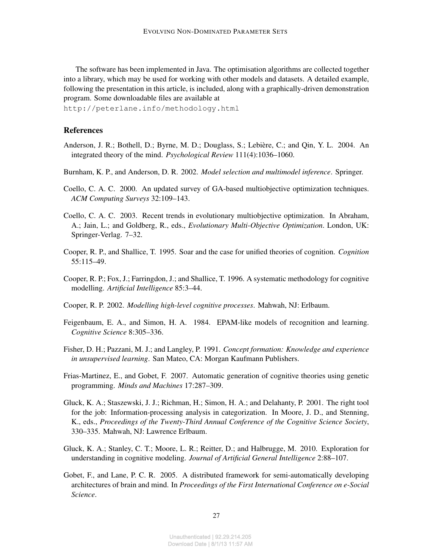The software has been implemented in Java. The optimisation algorithms are collected together into a library, which may be used for working with other models and datasets. A detailed example, following the presentation in this article, is included, along with a graphically-driven demonstration program. Some downloadable files are available at

http://peterlane.info/methodology.html

### References

- <span id="page-26-11"></span>Anderson, J. R.; Bothell, D.; Byrne, M. D.; Douglass, S.; Lebière, C.; and Qin, Y. L. 2004. An integrated theory of the mind. *Psychological Review* 111(4):1036–1060.
- <span id="page-26-10"></span>Burnham, K. P., and Anderson, D. R. 2002. *Model selection and multimodel inference*. Springer.
- <span id="page-26-6"></span>Coello, C. A. C. 2000. An updated survey of GA-based multiobjective optimization techniques. *ACM Computing Surveys* 32:109–143.
- <span id="page-26-7"></span>Coello, C. A. C. 2003. Recent trends in evolutionary multiobjective optimization. In Abraham, A.; Jain, L.; and Goldberg, R., eds., *Evolutionary Multi-Objective Optimization*. London, UK: Springer-Verlag. 7–32.
- <span id="page-26-1"></span>Cooper, R. P., and Shallice, T. 1995. Soar and the case for unified theories of cognition. *Cognition* 55:115–49.
- <span id="page-26-0"></span>Cooper, R. P.; Fox, J.; Farringdon, J.; and Shallice, T. 1996. A systematic methodology for cognitive modelling. *Artificial Intelligence* 85:3–44.
- <span id="page-26-3"></span>Cooper, R. P. 2002. *Modelling high-level cognitive processes*. Mahwah, NJ: Erlbaum.
- <span id="page-26-8"></span>Feigenbaum, E. A., and Simon, H. A. 1984. EPAM-like models of recognition and learning. *Cognitive Science* 8:305–336.
- <span id="page-26-4"></span>Fisher, D. H.; Pazzani, M. J.; and Langley, P. 1991. *Concept formation: Knowledge and experience in unsupervised learning*. San Mateo, CA: Morgan Kaufmann Publishers.
- <span id="page-26-9"></span>Frias-Martinez, E., and Gobet, F. 2007. Automatic generation of cognitive theories using genetic programming. *Minds and Machines* 17:287–309.
- <span id="page-26-5"></span>Gluck, K. A.; Staszewski, J. J.; Richman, H.; Simon, H. A.; and Delahanty, P. 2001. The right tool for the job: Information-processing analysis in categorization. In Moore, J. D., and Stenning, K., eds., *Proceedings of the Twenty-Third Annual Conference of the Cognitive Science Society*, 330–335. Mahwah, NJ: Lawrence Erlbaum.
- <span id="page-26-2"></span>Gluck, K. A.; Stanley, C. T.; Moore, L. R.; Reitter, D.; and Halbrugge, M. 2010. Exploration for understanding in cognitive modeling. *Journal of Artificial General Intelligence* 2:88–107.
- <span id="page-26-12"></span>Gobet, F., and Lane, P. C. R. 2005. A distributed framework for semi-automatically developing architectures of brain and mind. In *Proceedings of the First International Conference on e-Social Science*.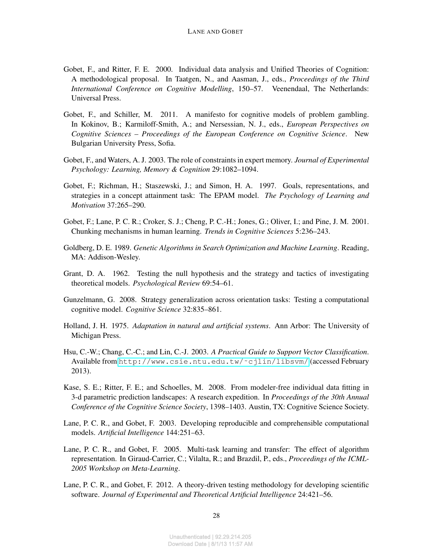- <span id="page-27-1"></span>Gobet, F., and Ritter, F. E. 2000. Individual data analysis and Unified Theories of Cognition: A methodological proposal. In Taatgen, N., and Aasman, J., eds., *Proceedings of the Third International Conference on Cognitive Modelling*, 150–57. Veenendaal, The Netherlands: Universal Press.
- Gobet, F., and Schiller, M. 2011. A manifesto for cognitive models of problem gambling. In Kokinov, B.; Karmiloff-Smith, A.; and Nersessian, N. J., eds., *European Perspectives on Cognitive Sciences – Proceedings of the European Conference on Cognitive Science*. New Bulgarian University Press, Sofia.
- <span id="page-27-0"></span>Gobet, F., and Waters, A. J. 2003. The role of constraints in expert memory. *Journal of Experimental Psychology: Learning, Memory & Cognition* 29:1082–1094.
- <span id="page-27-12"></span>Gobet, F.; Richman, H.; Staszewski, J.; and Simon, H. A. 1997. Goals, representations, and strategies in a concept attainment task: The EPAM model. *The Psychology of Learning and Motivation* 37:265–290.
- <span id="page-27-8"></span>Gobet, F.; Lane, P. C. R.; Croker, S. J.; Cheng, P. C.-H.; Jones, G.; Oliver, I.; and Pine, J. M. 2001. Chunking mechanisms in human learning. *Trends in Cognitive Sciences* 5:236–243.
- <span id="page-27-7"></span>Goldberg, D. E. 1989. *Genetic Algorithms in Search Optimization and Machine Learning*. Reading, MA: Addison-Wesley.
- <span id="page-27-2"></span>Grant, D. A. 1962. Testing the null hypothesis and the strategy and tactics of investigating theoretical models. *Psychological Review* 69:54–61.
- <span id="page-27-5"></span>Gunzelmann, G. 2008. Strategy generalization across orientation tasks: Testing a computational cognitive model. *Cognitive Science* 32:835–861.
- <span id="page-27-9"></span>Holland, J. H. 1975. *Adaptation in natural and artificial systems*. Ann Arbor: The University of Michigan Press.
- <span id="page-27-11"></span>Hsu, C.-W.; Chang, C.-C.; and Lin, C.-J. 2003. *A Practical Guide to Support Vector Classification*. Available from [http://www.csie.ntu.edu.tw/˜cjlin/libsvm/](http://www.csie.ntu.edu.tw/~cjlin/libsvm/) (accessed February 2013).
- <span id="page-27-6"></span>Kase, S. E.; Ritter, F. E.; and Schoelles, M. 2008. From modeler-free individual data fitting in 3-d parametric prediction landscapes: A research expedition. In *Proceedings of the 30th Annual Conference of the Cognitive Science Society*, 1398–1403. Austin, TX: Cognitive Science Society.
- <span id="page-27-3"></span>Lane, P. C. R., and Gobet, F. 2003. Developing reproducible and comprehensible computational models. *Artificial Intelligence* 144:251–63.
- <span id="page-27-10"></span>Lane, P. C. R., and Gobet, F. 2005. Multi-task learning and transfer: The effect of algorithm representation. In Giraud-Carrier, C.; Vilalta, R.; and Brazdil, P., eds., *Proceedings of the ICML-2005 Workshop on Meta-Learning*.
- <span id="page-27-4"></span>Lane, P. C. R., and Gobet, F. 2012. A theory-driven testing methodology for developing scientific software. *Journal of Experimental and Theoretical Artificial Intelligence* 24:421–56.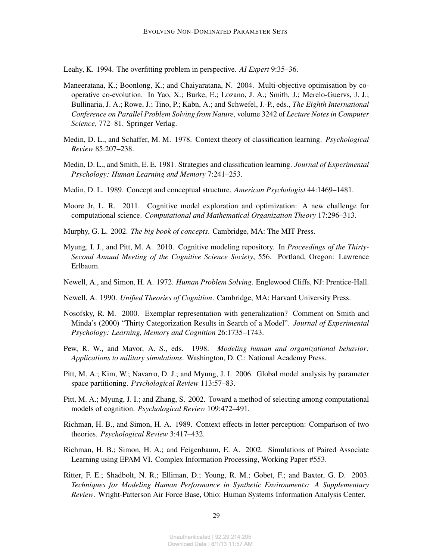<span id="page-28-13"></span>Leahy, K. 1994. The overfitting problem in perspective. *AI Expert* 9:35–36.

- <span id="page-28-12"></span>Maneeratana, K.; Boonlong, K.; and Chaiyaratana, N. 2004. Multi-objective optimisation by cooperative co-evolution. In Yao, X.; Burke, E.; Lozano, J. A.; Smith, J.; Merelo-Guervs, J. J.; Bullinaria, J. A.; Rowe, J.; Tino, P.; Kabn, A.; and Schwefel, J.-P., eds., *The Eighth International Conference on Parallel Problem Solving from Nature*, volume 3242 of *Lecture Notes in Computer Science*, 772–81. Springer Verlag.
- <span id="page-28-11"></span>Medin, D. L., and Schaffer, M. M. 1978. Context theory of classification learning. *Psychological Review* 85:207–238.
- <span id="page-28-9"></span>Medin, D. L., and Smith, E. E. 1981. Strategies and classification learning. *Journal of Experimental Psychology: Human Learning and Memory* 7:241–253.
- <span id="page-28-7"></span>Medin, D. L. 1989. Concept and conceptual structure. *American Psychologist* 44:1469–1481.
- <span id="page-28-5"></span>Moore Jr, L. R. 2011. Cognitive model exploration and optimization: A new challenge for computational science. *Computational and Mathematical Organization Theory* 17:296–313.
- <span id="page-28-8"></span>Murphy, G. L. 2002. *The big book of concepts*. Cambridge, MA: The MIT Press.
- <span id="page-28-6"></span>Myung, I. J., and Pitt, M. A. 2010. Cognitive modeling repository. In *Proceedings of the Thirty-Second Annual Meeting of the Cognitive Science Society*, 556. Portland, Oregon: Lawrence Erlbaum.
- <span id="page-28-0"></span>Newell, A., and Simon, H. A. 1972. *Human Problem Solving*. Englewood Cliffs, NJ: Prentice-Hall.
- <span id="page-28-4"></span>Newell, A. 1990. *Unified Theories of Cognition*. Cambridge, MA: Harvard University Press.
- <span id="page-28-10"></span>Nosofsky, R. M. 2000. Exemplar representation with generalization? Comment on Smith and Minda's (2000) "Thirty Categorization Results in Search of a Model". *Journal of Experimental Psychology: Learning, Memory and Cognition* 26:1735–1743.
- <span id="page-28-1"></span>Pew, R. W., and Mavor, A. S., eds. 1998. *Modeling human and organizational behavior: Applications to military simulations*. Washington, D. C.: National Academy Press.
- <span id="page-28-14"></span>Pitt, M. A.; Kim, W.; Navarro, D. J.; and Myung, J. I. 2006. Global model analysis by parameter space partitioning. *Psychological Review* 113:57–83.
- <span id="page-28-15"></span>Pitt, M. A.; Myung, J. I.; and Zhang, S. 2002. Toward a method of selecting among computational models of cognition. *Psychological Review* 109:472–491.
- <span id="page-28-2"></span>Richman, H. B., and Simon, H. A. 1989. Context effects in letter perception: Comparison of two theories. *Psychological Review* 3:417–432.
- <span id="page-28-16"></span>Richman, H. B.; Simon, H. A.; and Feigenbaum, E. A. 2002. Simulations of Paired Associate Learning using EPAM VI. Complex Information Processing, Working Paper #553.
- <span id="page-28-3"></span>Ritter, F. E.; Shadbolt, N. R.; Elliman, D.; Young, R. M.; Gobet, F.; and Baxter, G. D. 2003. *Techniques for Modeling Human Performance in Synthetic Environments: A Supplementary Review*. Wright-Patterson Air Force Base, Ohio: Human Systems Information Analysis Center.